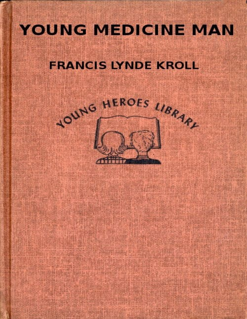# YOUNG MEDICINE MAN

# **FRANCIS LYNDE KROLL**

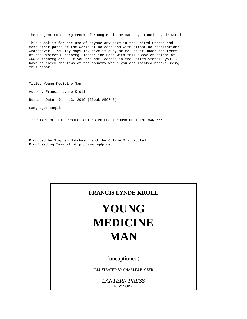The Project Gutenberg EBook of Young Medicine Man, by Francis Lynde Kroll

This eBook is for the use of anyone anywhere in the United States and most other parts of the world at no cost and with almost no restrictions whatsoever. You may copy it, give it away or re-use it under the terms of the Project Gutenberg License included with this eBook or online at www.gutenberg.org. If you are not located in the United States, you'll have to check the laws of the country where you are located before using this ebook.

Title: Young Medicine Man Author: Francis Lynde Kroll Release Date: June 13, 2019 [EBook #59747] Language: English

\*\*\* START OF THIS PROJECT GUTENBERG EBOOK YOUNG MEDICINE MAN \*\*\*

Produced by Stephen Hutcheson and the Online Distributed Proofreading Team at http://www.pgdp.net

#### **FRANCIS LYNDE KROLL**

# **YOUNG MEDICINE MAN**

(uncaptioned)

ILLUSTRATED BY CHARLES H. GEER

*LANTERN PRESS* NEW YORK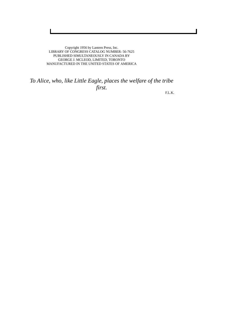Copyright 1956 by Lantern Press, Inc. LIBRARY OF CONGRESS CATALOG NUMBER: 56-7625 PUBLISHED SIMULTANEOUSLY IN CANADA BY GEORGE J. MCLEOD, LIMITED, TORONTO MANUFACTURED IN THE UNITED STATES OF AMERICA

### *To Alice, who, like Little Eagle, places the welfare of the tribe first.*

F.L.K.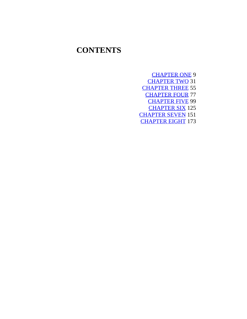## **CONTENTS**

[CHAPTER](#page-5-0) ONE 9 [CHAPTER](#page-17-0) TWO 31 [CHAPTER](#page-30-0) THREE 55 [CHAPTER](#page-42-0) FOUR 77 [CHAPTER](#page-55-0) FIVE 99 [CHAPTER](#page-69-0) SIX 125 [CHAPTER](#page-84-0) SEVEN 151 [CHAPTER](#page-97-0) EIGHT 173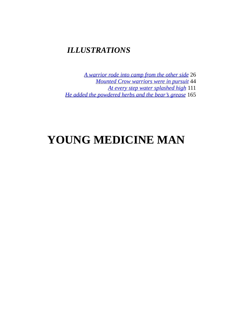### *ILLUSTRATIONS*

*A [warrior](#page-14-0) rode into camp from the other side* 26 *[Mounted](#page-24-0) Crow warriors were in pursuit* 44 *At every step water [splashed](#page-61-0) high* 111 *He added the [powdered](#page-92-0) herbs and the bear's grease* 165

# **YOUNG MEDICINE MAN**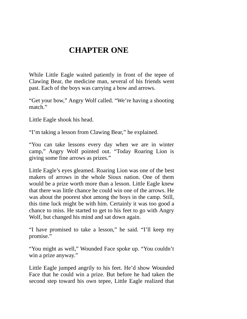## **CHAPTER ONE**

<span id="page-5-0"></span>While Little Eagle waited patiently in front of the tepee of Clawing Bear, the medicine man, several of his friends went past. Each of the boys was carrying a bow and arrows.

"Get your bow," Angry Wolf called. "We're having a shooting match."

Little Eagle shook his head.

"I'm taking a lesson from Clawing Bear," he explained.

"You can take lessons every day when we are in winter camp," Angry Wolf pointed out. "Today Roaring Lion is giving some fine arrows as prizes."

Little Eagle's eyes gleamed. Roaring Lion was one of the best makers of arrows in the whole Sioux nation. One of them would be a prize worth more than a lesson. Little Eagle knew that there was little chance he could win one of the arrows. He was about the poorest shot among the boys in the camp. Still, this time luck might be with him. Certainly it was too good a chance to miss. He started to get to his feet to go with Angry Wolf, but changed his mind and sat down again.

"I have promised to take a lesson," he said. "I'll keep my promise."

"You might as well," Wounded Face spoke up. "You couldn't win a prize anyway."

Little Eagle jumped angrily to his feet. He'd show Wounded Face that he could win a prize. But before he had taken the second step toward his own tepee, Little Eagle realized that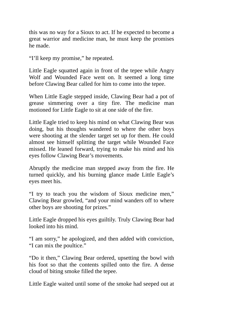this was no way for a Sioux to act. If he expected to become a great warrior and medicine man, he must keep the promises he made.

"I'll keep my promise," he repeated.

Little Eagle squatted again in front of the tepee while Angry Wolf and Wounded Face went on. It seemed a long time before Clawing Bear called for him to come into the tepee.

When Little Eagle stepped inside, Clawing Bear had a pot of grease simmering over a tiny fire. The medicine man motioned for Little Eagle to sit at one side of the fire.

Little Eagle tried to keep his mind on what Clawing Bear was doing, but his thoughts wandered to where the other boys were shooting at the slender target set up for them. He could almost see himself splitting the target while Wounded Face missed. He leaned forward, trying to make his mind and his eyes follow Clawing Bear's movements.

Abruptly the medicine man stepped away from the fire. He turned quickly, and his burning glance made Little Eagle's eyes meet his.

"I try to teach you the wisdom of Sioux medicine men," Clawing Bear growled, "and your mind wanders off to where other boys are shooting for prizes."

Little Eagle dropped his eyes guiltily. Truly Clawing Bear had looked into his mind.

"I am sorry," he apologized, and then added with conviction, "I can mix the poultice."

"Do it then," Clawing Bear ordered, upsetting the bowl with his foot so that the contents spilled onto the fire. A dense cloud of biting smoke filled the tepee.

Little Eagle waited until some of the smoke had seeped out at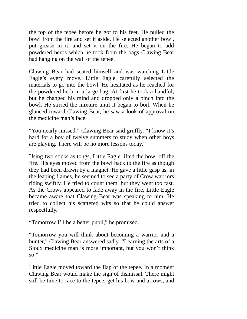the top of the tepee before he got to his feet. He pulled the bowl from the fire and set it aside. He selected another bowl, put grease in it, and set it on the fire. He began to add powdered herbs which he took from the bags Clawing Bear had hanging on the wall of the tepee.

Clawing Bear had seated himself and was watching Little Eagle's every move. Little Eagle carefully selected the materials to go into the bowl. He hesitated as he reached for the powdered herb in a large bag. At first he took a handful, but he changed his mind and dropped only a pinch into the bowl. He stirred the mixture until it began to boil. When he glanced toward Clawing Bear, he saw a look of approval on the medicine man's face.

"You nearly missed," Clawing Bear said gruffly. "I know it's hard for a boy of twelve summers to study when other boys are playing. There will be no more lessons today."

Using two sticks as tongs, Little Eagle lifted the bowl off the fire. His eyes moved from the bowl back to the fire as though they had been drawn by a magnet. He gave a little gasp as, in the leaping flames, he seemed to see a party of Crow warriors riding swiftly. He tried to count them, but they went too fast. As the Crows appeared to fade away in the fire, Little Eagle became aware that Clawing Bear was speaking to him. He tried to collect his scattered wits so that he could answer respectfully.

"Tomorrow I'll be a better pupil," he promised.

"Tomorrow you will think about becoming a warrior and a hunter," Clawing Bear answered sadly. "Learning the arts of a Sioux medicine man is more important, but you won't think so."

Little Eagle moved toward the flap of the tepee. In a moment Clawing Bear would make the sign of dismissal. There might still be time to race to the tepee, get his bow and arrows, and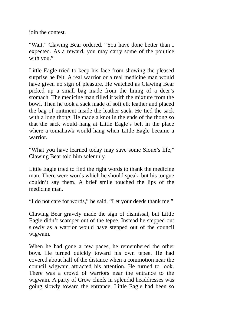join the contest.

"Wait," Clawing Bear ordered. "You have done better than I expected. As a reward, you may carry some of the poultice with you."

Little Eagle tried to keep his face from showing the pleased surprise he felt. A real warrior or a real medicine man would have given no sign of pleasure. He watched as Clawing Bear picked up a small bag made from the lining of a deer's stomach. The medicine man filled it with the mixture from the bowl. Then he took a sack made of soft elk leather and placed the bag of ointment inside the leather sack. He tied the sack with a long thong. He made a knot in the ends of the thong so that the sack would hang at Little Eagle's belt in the place where a tomahawk would hang when Little Eagle became a warrior.

"What you have learned today may save some Sioux's life," Clawing Bear told him solemnly.

Little Eagle tried to find the right words to thank the medicine man. There were words which he should speak, but his tongue couldn't say them. A brief smile touched the lips of the medicine man.

"I do not care for words," he said. "Let your deeds thank me."

Clawing Bear gravely made the sign of dismissal, but Little Eagle didn't scamper out of the tepee. Instead he stepped out slowly as a warrior would have stepped out of the council wigwam.

When he had gone a few paces, he remembered the other boys. He turned quickly toward his own tepee. He had covered about half of the distance when a commotion near the council wigwam attracted his attention. He turned to look. There was a crowd of warriors near the entrance to the wigwam. A party of Crow chiefs in splendid headdresses was going slowly toward the entrance. Little Eagle had been so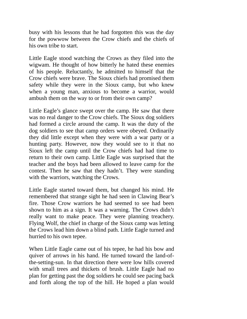busy with his lessons that he had forgotten this was the day for the powwow between the Crow chiefs and the chiefs of his own tribe to start.

Little Eagle stood watching the Crows as they filed into the wigwam. He thought of how bitterly he hated these enemies of his people. Reluctantly, he admitted to himself that the Crow chiefs were brave. The Sioux chiefs had promised them safety while they were in the Sioux camp, but who knew when a young man, anxious to become a warrior, would ambush them on the way to or from their own camp?

Little Eagle's glance swept over the camp. He saw that there was no real danger to the Crow chiefs. The Sioux dog soldiers had formed a circle around the camp. It was the duty of the dog soldiers to see that camp orders were obeyed. Ordinarily they did little except when they were with a war party or a hunting party. However, now they would see to it that no Sioux left the camp until the Crow chiefs had had time to return to their own camp. Little Eagle was surprised that the teacher and the boys had been allowed to leave camp for the contest. Then he saw that they hadn't. They were standing with the warriors, watching the Crows.

Little Eagle started toward them, but changed his mind. He remembered that strange sight he had seen in Clawing Bear's fire. Those Crow warriors he had seemed to see had been shown to him as a sign. It was a warning. The Crows didn't really want to make peace. They were planning treachery. Flying Wolf, the chief in charge of the Sioux camp was letting the Crows lead him down a blind path. Little Eagle turned and hurried to his own tepee.

When Little Eagle came out of his tepee, he had his bow and quiver of arrows in his hand. He turned toward the land-ofthe-setting-sun. In that direction there were low hills covered with small trees and thickets of brush. Little Eagle had no plan for getting past the dog soldiers he could see pacing back and forth along the top of the hill. He hoped a plan would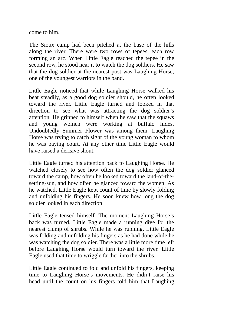come to him.

The Sioux camp had been pitched at the base of the hills along the river. There were two rows of tepees, each row forming an arc. When Little Eagle reached the tepee in the second row, he stood near it to watch the dog soldiers. He saw that the dog soldier at the nearest post was Laughing Horse, one of the youngest warriors in the band.

Little Eagle noticed that while Laughing Horse walked his beat steadily, as a good dog soldier should, he often looked toward the river. Little Eagle turned and looked in that direction to see what was attracting the dog soldier's attention. He grinned to himself when he saw that the squaws and young women were working at buffalo hides. Undoubtedly Summer Flower was among them. Laughing Horse was trying to catch sight of the young woman to whom he was paying court. At any other time Little Eagle would have raised a derisive shout.

Little Eagle turned his attention back to Laughing Horse. He watched closely to see how often the dog soldier glanced toward the camp, how often he looked toward the land-of-thesetting-sun, and how often he glanced toward the women. As he watched, Little Eagle kept count of time by slowly folding and unfolding his fingers. He soon knew how long the dog soldier looked in each direction.

Little Eagle tensed himself. The moment Laughing Horse's back was turned, Little Eagle made a running dive for the nearest clump of shrubs. While he was running, Little Eagle was folding and unfolding his fingers as he had done while he was watching the dog soldier. There was a little more time left before Laughing Horse would turn toward the river. Little Eagle used that time to wriggle farther into the shrubs.

Little Eagle continued to fold and unfold his fingers, keeping time to Laughing Horse's movements. He didn't raise his head until the count on his fingers told him that Laughing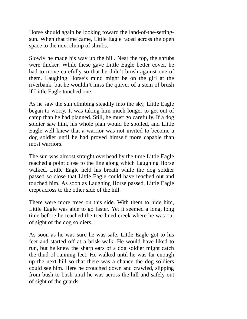Horse should again be looking toward the land-of-the-settingsun. When that time came, Little Eagle raced across the open space to the next clump of shrubs.

Slowly he made his way up the hill. Near the top, the shrubs were thicker. While these gave Little Eagle better cover, he had to move carefully so that he didn't brush against one of them. Laughing Horse's mind might be on the girl at the riverbank, but he wouldn't miss the quiver of a stem of brush if Little Eagle touched one.

As he saw the sun climbing steadily into the sky, Little Eagle began to worry. It was taking him much longer to get out of camp than he had planned. Still, he must go carefully. If a dog soldier saw him, his whole plan would be spoiled, and Little Eagle well knew that a warrior was not invited to become a dog soldier until he had proved himself more capable than most warriors.

The sun was almost straight overhead by the time Little Eagle reached a point close to the line along which Laughing Horse walked. Little Eagle held his breath while the dog soldier passed so close that Little Eagle could have reached out and touched him. As soon as Laughing Horse passed, Little Eagle crept across to the other side of the hill.

There were more trees on this side. With them to hide him, Little Eagle was able to go faster. Yet it seemed a long, long time before he reached the tree-lined creek where he was out of sight of the dog soldiers.

As soon as he was sure he was safe, Little Eagle got to his feet and started off at a brisk walk. He would have liked to run, but he knew the sharp ears of a dog soldier might catch the thud of running feet. He walked until he was far enough up the next hill so that there was a chance the dog soldiers could see him. Here he crouched down and crawled, slipping from bush to bush until he was across the hill and safely out of sight of the guards.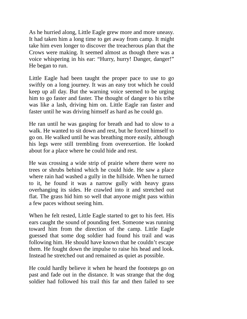As he hurried along, Little Eagle grew more and more uneasy. It had taken him a long time to get away from camp. It might take him even longer to discover the treacherous plan that the Crows were making. It seemed almost as though there was a voice whispering in his ear: "Hurry, hurry! Danger, danger!" He began to run.

Little Eagle had been taught the proper pace to use to go swiftly on a long journey. It was an easy trot which he could keep up all day. But the warning voice seemed to be urging him to go faster and faster. The thought of danger to his tribe was like a lash, driving him on. Little Eagle ran faster and faster until he was driving himself as hard as he could go.

He ran until he was gasping for breath and had to slow to a walk. He wanted to sit down and rest, but he forced himself to go on. He walked until he was breathing more easily, although his legs were still trembling from overexertion. He looked about for a place where he could hide and rest.

He was crossing a wide strip of prairie where there were no trees or shrubs behind which he could hide. He saw a place where rain had washed a gully in the hillside. When he turned to it, he found it was a narrow gully with heavy grass overhanging its sides. He crawled into it and stretched out flat. The grass hid him so well that anyone might pass within a few paces without seeing him.

When he felt rested, Little Eagle started to get to his feet. His ears caught the sound of pounding feet. Someone was running toward him from the direction of the camp. Little Eagle guessed that some dog soldier had found his trail and was following him. He should have known that he couldn't escape them. He fought down the impulse to raise his head and look. Instead he stretched out and remained as quiet as possible.

He could hardly believe it when he heard the footsteps go on past and fade out in the distance. It was strange that the dog soldier had followed his trail this far and then failed to see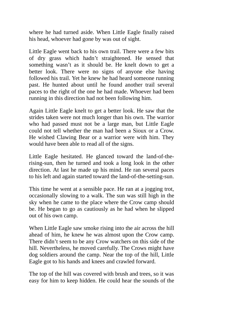where he had turned aside. When Little Eagle finally raised his head, whoever had gone by was out of sight.

Little Eagle went back to his own trail. There were a few bits of dry grass which hadn't straightened. He sensed that something wasn't as it should be. He knelt down to get a better look. There were no signs of anyone else having followed his trail. Yet he knew he had heard someone running past. He hunted about until he found another trail several paces to the right of the one he had made. Whoever had been running in this direction had not been following him.

Again Little Eagle knelt to get a better look. He saw that the strides taken were not much longer than his own. The warrior who had passed must not be a large man, but Little Eagle could not tell whether the man had been a Sioux or a Crow. He wished Clawing Bear or a warrior were with him. They would have been able to read all of the signs.

Little Eagle hesitated. He glanced toward the land-of-therising-sun, then he turned and took a long look in the other direction. At last he made up his mind. He ran several paces to his left and again started toward the land-of-the-setting-sun.

This time he went at a sensible pace. He ran at a jogging trot, occasionally slowing to a walk. The sun was still high in the sky when he came to the place where the Crow camp should be. He began to go as cautiously as he had when he slipped out of his own camp.

When Little Eagle saw smoke rising into the air across the hill ahead of him, he knew he was almost upon the Crow camp. There didn't seem to be any Crow watchers on this side of the hill. Nevertheless, he moved carefully. The Crows might have dog soldiers around the camp. Near the top of the hill, Little Eagle got to his hands and knees and crawled forward.

The top of the hill was covered with brush and trees, so it was easy for him to keep hidden. He could hear the sounds of the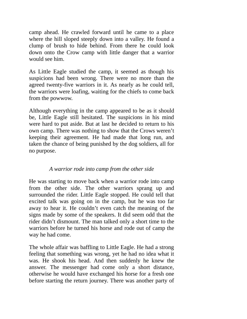camp ahead. He crawled forward until he came to a place where the hill sloped steeply down into a valley. He found a clump of brush to hide behind. From there he could look down onto the Crow camp with little danger that a warrior would see him.

As Little Eagle studied the camp, it seemed as though his suspicions had been wrong. There were no more than the agreed twenty-five warriors in it. As nearly as he could tell, the warriors were loafing, waiting for the chiefs to come back from the powwow.

Although everything in the camp appeared to be as it should be, Little Eagle still hesitated. The suspicions in his mind were hard to put aside. But at last he decided to return to his own camp. There was nothing to show that the Crows weren't keeping their agreement. He had made that long run, and taken the chance of being punished by the dog soldiers, all for no purpose.

#### *A warrior rode into camp from the other side*

<span id="page-14-0"></span>He was starting to move back when a warrior rode into camp from the other side. The other warriors sprang up and surrounded the rider. Little Eagle stopped. He could tell that excited talk was going on in the camp, but he was too far away to hear it. He couldn't even catch the meaning of the signs made by some of the speakers. It did seem odd that the rider didn't dismount. The man talked only a short time to the warriors before he turned his horse and rode out of camp the way he had come.

The whole affair was baffling to Little Eagle. He had a strong feeling that something was wrong, yet he had no idea what it was. He shook his head. And then suddenly he knew the answer. The messenger had come only a short distance, otherwise he would have exchanged his horse for a fresh one before starting the return journey. There was another party of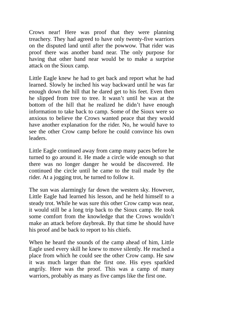Crows near! Here was proof that they were planning treachery. They had agreed to have only twenty-five warriors on the disputed land until after the powwow. That rider was proof there was another band near. The only purpose for having that other band near would be to make a surprise attack on the Sioux camp.

Little Eagle knew he had to get back and report what he had learned. Slowly he inched his way backward until he was far enough down the hill that he dared get to his feet. Even then he slipped from tree to tree. It wasn't until he was at the bottom of the hill that he realized he didn't have enough information to take back to camp. Some of the Sioux were so anxious to believe the Crows wanted peace that they would have another explanation for the rider. No, he would have to see the other Crow camp before he could convince his own leaders.

Little Eagle continued away from camp many paces before he turned to go around it. He made a circle wide enough so that there was no longer danger he would be discovered. He continued the circle until he came to the trail made by the rider. At a jogging trot, he turned to follow it.

The sun was alarmingly far down the western sky. However, Little Eagle had learned his lesson, and he held himself to a steady trot. While he was sure this other Crow camp was near, it would still be a long trip back to the Sioux camp. He took some comfort from the knowledge that the Crows wouldn't make an attack before daybreak. By that time he should have his proof and be back to report to his chiefs.

When he heard the sounds of the camp ahead of him, Little Eagle used every skill he knew to move silently. He reached a place from which he could see the other Crow camp. He saw it was much larger than the first one. His eyes sparkled angrily. Here was the proof. This was a camp of many warriors, probably as many as five camps like the first one.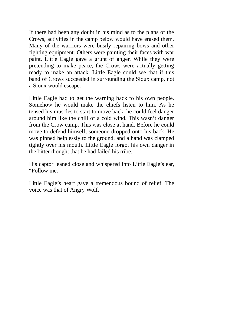If there had been any doubt in his mind as to the plans of the Crows, activities in the camp below would have erased them. Many of the warriors were busily repairing bows and other fighting equipment. Others were painting their faces with war paint. Little Eagle gave a grunt of anger. While they were pretending to make peace, the Crows were actually getting ready to make an attack. Little Eagle could see that if this band of Crows succeeded in surrounding the Sioux camp, not a Sioux would escape.

Little Eagle had to get the warning back to his own people. Somehow he would make the chiefs listen to him. As he tensed his muscles to start to move back, he could feel danger around him like the chill of a cold wind. This wasn't danger from the Crow camp. This was close at hand. Before he could move to defend himself, someone dropped onto his back. He was pinned helplessly to the ground, and a hand was clamped tightly over his mouth. Little Eagle forgot his own danger in the bitter thought that he had failed his tribe.

His captor leaned close and whispered into Little Eagle's ear, "Follow me."

Little Eagle's heart gave a tremendous bound of relief. The voice was that of Angry Wolf.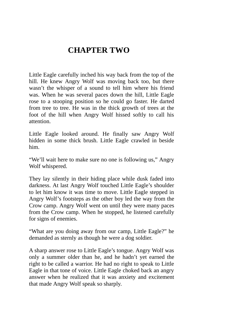## **CHAPTER TWO**

<span id="page-17-0"></span>Little Eagle carefully inched his way back from the top of the hill. He knew Angry Wolf was moving back too, but there wasn't the whisper of a sound to tell him where his friend was. When he was several paces down the hill, Little Eagle rose to a stooping position so he could go faster. He darted from tree to tree. He was in the thick growth of trees at the foot of the hill when Angry Wolf hissed softly to call his attention.

Little Eagle looked around. He finally saw Angry Wolf hidden in some thick brush. Little Eagle crawled in beside him.

"We'll wait here to make sure no one is following us," Angry Wolf whispered.

They lay silently in their hiding place while dusk faded into darkness. At last Angry Wolf touched Little Eagle's shoulder to let him know it was time to move. Little Eagle stepped in Angry Wolf's footsteps as the other boy led the way from the Crow camp. Angry Wolf went on until they were many paces from the Crow camp. When he stopped, he listened carefully for signs of enemies.

"What are you doing away from our camp, Little Eagle?" he demanded as sternly as though he were a dog soldier.

A sharp answer rose to Little Eagle's tongue. Angry Wolf was only a summer older than he, and he hadn't yet earned the right to be called a warrior. He had no right to speak to Little Eagle in that tone of voice. Little Eagle choked back an angry answer when he realized that it was anxiety and excitement that made Angry Wolf speak so sharply.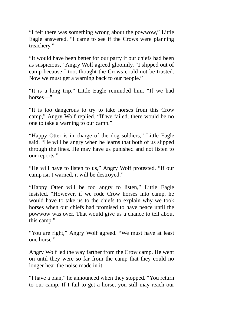"I felt there was something wrong about the powwow," Little Eagle answered. "I came to see if the Crows were planning treachery."

"It would have been better for our party if our chiefs had been as suspicious," Angry Wolf agreed gloomily. "I slipped out of camp because I too, thought the Crows could not be trusted. Now we must get a warning back to our people."

"It is a long trip," Little Eagle reminded him. "If we had horses—"

"It is too dangerous to try to take horses from this Crow camp," Angry Wolf replied. "If we failed, there would be no one to take a warning to our camp."

"Happy Otter is in charge of the dog soldiers," Little Eagle said. "He will be angry when he learns that both of us slipped through the lines. He may have us punished and not listen to our reports."

"He will have to listen to us," Angry Wolf protested. "If our camp isn't warned, it will be destroyed."

"Happy Otter will be too angry to listen," Little Eagle insisted. "However, if we rode Crow horses into camp, he would have to take us to the chiefs to explain why we took horses when our chiefs had promised to have peace until the powwow was over. That would give us a chance to tell about this camp."

"You are right," Angry Wolf agreed. "We must have at least one horse."

Angry Wolf led the way farther from the Crow camp. He went on until they were so far from the camp that they could no longer hear the noise made in it.

"I have a plan," he announced when they stopped. "You return to our camp. If I fail to get a horse, you still may reach our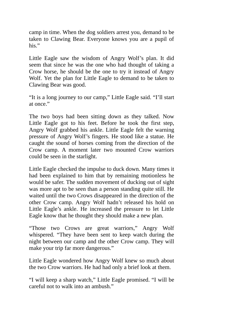camp in time. When the dog soldiers arrest you, demand to be taken to Clawing Bear. Everyone knows you are a pupil of his."

Little Eagle saw the wisdom of Angry Wolf's plan. It did seem that since he was the one who had thought of taking a Crow horse, he should be the one to try it instead of Angry Wolf. Yet the plan for Little Eagle to demand to be taken to Clawing Bear was good.

"It is a long journey to our camp," Little Eagle said. "I'll start at once."

The two boys had been sitting down as they talked. Now Little Eagle got to his feet. Before he took the first step, Angry Wolf grabbed his ankle. Little Eagle felt the warning pressure of Angry Wolf's fingers. He stood like a statue. He caught the sound of horses coming from the direction of the Crow camp. A moment later two mounted Crow warriors could be seen in the starlight.

Little Eagle checked the impulse to duck down. Many times it had been explained to him that by remaining motionless he would be safer. The sudden movement of ducking out of sight was more apt to be seen than a person standing quite still. He waited until the two Crows disappeared in the direction of the other Crow camp. Angry Wolf hadn't released his hold on Little Eagle's ankle. He increased the pressure to let Little Eagle know that he thought they should make a new plan.

"Those two Crows are great warriors," Angry Wolf whispered. "They have been sent to keep watch during the night between our camp and the other Crow camp. They will make your trip far more dangerous."

Little Eagle wondered how Angry Wolf knew so much about the two Crow warriors. He had had only a brief look at them.

"I will keep a sharp watch," Little Eagle promised. "I will be careful not to walk into an ambush."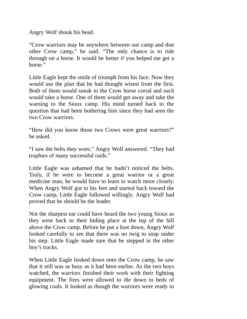Angry Wolf shook his head.

"Crow warriors may be anywhere between our camp and that other Crow camp," he said. "The only chance is to ride through on a horse. It would be better if you helped me get a horse."

Little Eagle kept the smile of triumph from his face. Now they would use the plan that he had thought wisest from the first. Both of them would sneak to the Crow horse corral and each would take a horse. One of them would get away and take the warning to the Sioux camp. His mind turned back to the question that had been bothering him since they had seen the two Crow warriors.

"How did you know those two Crows were great warriors?" he asked.

"I saw the belts they wore," Angry Wolf answered. "They had trophies of many successful raids."

Little Eagle was ashamed that he hadn't noticed the belts. Truly, if he were to become a great warrior or a great medicine man, he would have to learn to watch more closely. When Angry Wolf got to his feet and started back toward the Crow camp, Little Eagle followed willingly. Angry Wolf had proved that he should be the leader.

Not the sharpest ear could have heard the two young Sioux as they went back to their hiding place at the top of the hill above the Crow camp. Before he put a foot down, Angry Wolf looked carefully to see that there was no twig to snap under his step. Little Eagle made sure that he stepped in the other boy's tracks.

When Little Eagle looked down onto the Crow camp, he saw that it still was as busy as it had been earlier. As the two boys watched, the warriors finished their work with their fighting equipment. The fires were allowed to die down to beds of glowing coals. It looked as though the warriors were ready to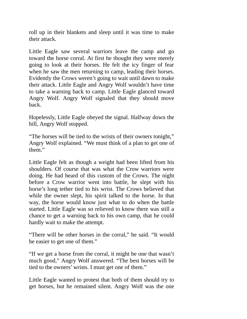roll up in their blankets and sleep until it was time to make their attack.

Little Eagle saw several warriors leave the camp and go toward the horse corral. At first he thought they were merely going to look at their horses. He felt the icy finger of fear when he saw the men returning to camp, leading their horses. Evidently the Crows weren't going to wait until dawn to make their attack. Little Eagle and Angry Wolf wouldn't have time to take a warning back to camp. Little Eagle glanced toward Angry Wolf. Angry Wolf signaled that they should move back.

Hopelessly, Little Eagle obeyed the signal. Halfway down the hill, Angry Wolf stopped.

"The horses will be tied to the wrists of their owners tonight," Angry Wolf explained. "We must think of a plan to get one of them."

Little Eagle felt as though a weight had been lifted from his shoulders. Of course that was what the Crow warriors were doing. He had heard of this custom of the Crows. The night before a Crow warrior went into battle, he slept with his horse's long tether tied to his wrist. The Crows believed that while the owner slept, his spirit talked to the horse. In that way, the horse would know just what to do when the battle started. Little Eagle was so relieved to know there was still a chance to get a warning back to his own camp, that he could hardly wait to make the attempt.

"There will be other horses in the corral," he said. "It would be easier to get one of them."

"If we get a horse from the corral, it might be one that wasn't much good," Angry Wolf answered. "The best horses will be tied to the owners' wrists. I must get one of them."

Little Eagle wanted to protest that both of them should try to get horses, but he remained silent. Angry Wolf was the one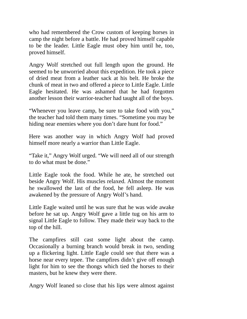who had remembered the Crow custom of keeping horses in camp the night before a battle. He had proved himself capable to be the leader. Little Eagle must obey him until he, too, proved himself.

Angry Wolf stretched out full length upon the ground. He seemed to be unworried about this expedition. He took a piece of dried meat from a leather sack at his belt. He broke the chunk of meat in two and offered a piece to Little Eagle. Little Eagle hesitated. He was ashamed that he had forgotten another lesson their warrior-teacher had taught all of the boys.

"Whenever you leave camp, be sure to take food with you," the teacher had told them many times. "Sometime you may be hiding near enemies where you don't dare hunt for food."

Here was another way in which Angry Wolf had proved himself more nearly a warrior than Little Eagle.

"Take it," Angry Wolf urged. "We will need all of our strength to do what must be done."

Little Eagle took the food. While he ate, he stretched out beside Angry Wolf. His muscles relaxed. Almost the moment he swallowed the last of the food, he fell asleep. He was awakened by the pressure of Angry Wolf's hand.

Little Eagle waited until he was sure that he was wide awake before he sat up. Angry Wolf gave a little tug on his arm to signal Little Eagle to follow. They made their way back to the top of the hill.

The campfires still cast some light about the camp. Occasionally a burning branch would break in two, sending up a flickering light. Little Eagle could see that there was a horse near every tepee. The campfires didn't give off enough light for him to see the thongs which tied the horses to their masters, but he knew they were there.

Angry Wolf leaned so close that his lips were almost against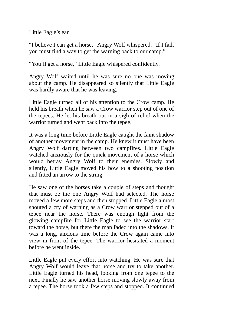Little Eagle's ear.

"I believe I can get a horse," Angry Wolf whispered. "If I fail, you must find a way to get the warning back to our camp."

"You'll get a horse," Little Eagle whispered confidently.

Angry Wolf waited until he was sure no one was moving about the camp. He disappeared so silently that Little Eagle was hardly aware that he was leaving.

Little Eagle turned all of his attention to the Crow camp. He held his breath when he saw a Crow warrior step out of one of the tepees. He let his breath out in a sigh of relief when the warrior turned and went back into the tepee.

It was a long time before Little Eagle caught the faint shadow of another movement in the camp. He knew it must have been Angry Wolf darting between two campfires. Little Eagle watched anxiously for the quick movement of a horse which would betray Angry Wolf to their enemies. Slowly and silently, Little Eagle moved his bow to a shooting position and fitted an arrow to the string.

He saw one of the horses take a couple of steps and thought that must be the one Angry Wolf had selected. The horse moved a few more steps and then stopped. Little Eagle almost shouted a cry of warning as a Crow warrior stepped out of a tepee near the horse. There was enough light from the glowing campfire for Little Eagle to see the warrior start toward the horse, but there the man faded into the shadows. It was a long, anxious time before the Crow again came into view in front of the tepee. The warrior hesitated a moment before he went inside.

Little Eagle put every effort into watching. He was sure that Angry Wolf would leave that horse and try to take another. Little Eagle turned his head, looking from one tepee to the next. Finally he saw another horse moving slowly away from a tepee. The horse took a few steps and stopped. It continued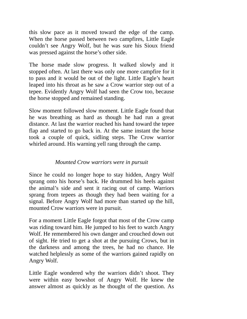this slow pace as it moved toward the edge of the camp. When the horse passed between two campfires, Little Eagle couldn't see Angry Wolf, but he was sure his Sioux friend was pressed against the horse's other side.

The horse made slow progress. It walked slowly and it stopped often. At last there was only one more campfire for it to pass and it would be out of the light. Little Eagle's heart leaped into his throat as he saw a Crow warrior step out of a tepee. Evidently Angry Wolf had seen the Crow too, because the horse stopped and remained standing.

Slow moment followed slow moment. Little Eagle found that he was breathing as hard as though he had run a great distance. At last the warrior reached his hand toward the tepee flap and started to go back in. At the same instant the horse took a couple of quick, sidling steps. The Crow warrior whirled around. His warning yell rang through the camp.

#### *Mounted Crow warriors were in pursuit*

<span id="page-24-0"></span>Since he could no longer hope to stay hidden, Angry Wolf sprang onto his horse's back. He drummed his heels against the animal's side and sent it racing out of camp. Warriors sprang from tepees as though they had been waiting for a signal. Before Angry Wolf had more than started up the hill, mounted Crow warriors were in pursuit.

For a moment Little Eagle forgot that most of the Crow camp was riding toward him. He jumped to his feet to watch Angry Wolf. He remembered his own danger and crouched down out of sight. He tried to get a shot at the pursuing Crows, but in the darkness and among the trees, he had no chance. He watched helplessly as some of the warriors gained rapidly on Angry Wolf.

Little Eagle wondered why the warriors didn't shoot. They were within easy bowshot of Angry Wolf. He knew the answer almost as quickly as he thought of the question. As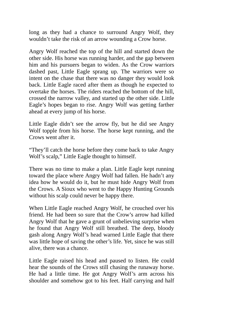long as they had a chance to surround Angry Wolf, they wouldn't take the risk of an arrow wounding a Crow horse.

Angry Wolf reached the top of the hill and started down the other side. His horse was running harder, and the gap between him and his pursuers began to widen. As the Crow warriors dashed past, Little Eagle sprang up. The warriors were so intent on the chase that there was no danger they would look back. Little Eagle raced after them as though he expected to overtake the horses. The riders reached the bottom of the hill, crossed the narrow valley, and started up the other side. Little Eagle's hopes began to rise. Angry Wolf was getting farther ahead at every jump of his horse.

Little Eagle didn't see the arrow fly, but he did see Angry Wolf topple from his horse. The horse kept running, and the Crows went after it.

"They'll catch the horse before they come back to take Angry Wolf's scalp," Little Eagle thought to himself.

There was no time to make a plan. Little Eagle kept running toward the place where Angry Wolf had fallen. He hadn't any idea how he would do it, but he must hide Angry Wolf from the Crows. A Sioux who went to the Happy Hunting Grounds without his scalp could never be happy there.

When Little Eagle reached Angry Wolf, he crouched over his friend. He had been so sure that the Crow's arrow had killed Angry Wolf that he gave a grunt of unbelieving surprise when he found that Angry Wolf still breathed. The deep, bloody gash along Angry Wolf's head warned Little Eagle that there was little hope of saving the other's life. Yet, since he was still alive, there was a chance.

Little Eagle raised his head and paused to listen. He could hear the sounds of the Crows still chasing the runaway horse. He had a little time. He got Angry Wolf's arm across his shoulder and somehow got to his feet. Half carrying and half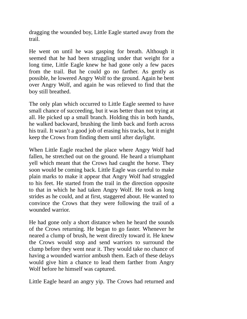dragging the wounded boy, Little Eagle started away from the trail.

He went on until he was gasping for breath. Although it seemed that he had been struggling under that weight for a long time, Little Eagle knew he had gone only a few paces from the trail. But he could go no farther. As gently as possible, he lowered Angry Wolf to the ground. Again he bent over Angry Wolf, and again he was relieved to find that the boy still breathed.

The only plan which occurred to Little Eagle seemed to have small chance of succeeding, but it was better than not trying at all. He picked up a small branch. Holding this in both hands, he walked backward, brushing the limb back and forth across his trail. It wasn't a good job of erasing his tracks, but it might keep the Crows from finding them until after daylight.

When Little Eagle reached the place where Angry Wolf had fallen, he stretched out on the ground. He heard a triumphant yell which meant that the Crows had caught the horse. They soon would be coming back. Little Eagle was careful to make plain marks to make it appear that Angry Wolf had struggled to his feet. He started from the trail in the direction opposite to that in which he had taken Angry Wolf. He took as long strides as he could, and at first, staggered about. He wanted to convince the Crows that they were following the trail of a wounded warrior.

He had gone only a short distance when he heard the sounds of the Crows returning. He began to go faster. Whenever he neared a clump of brush, he went directly toward it. He knew the Crows would stop and send warriors to surround the clump before they went near it. They would take no chance of having a wounded warrior ambush them. Each of these delays would give him a chance to lead them farther from Angry Wolf before he himself was captured.

Little Eagle heard an angry yip. The Crows had returned and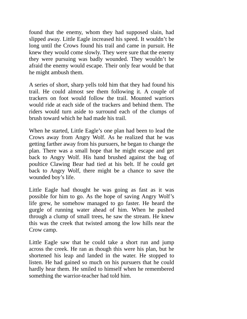found that the enemy, whom they had supposed slain, had slipped away. Little Eagle increased his speed. It wouldn't be long until the Crows found his trail and came in pursuit. He knew they would come slowly. They were sure that the enemy they were pursuing was badly wounded. They wouldn't be afraid the enemy would escape. Their only fear would be that he might ambush them.

A series of short, sharp yells told him that they had found his trail. He could almost see them following it. A couple of trackers on foot would follow the trail. Mounted warriors would ride at each side of the trackers and behind them. The riders would turn aside to surround each of the clumps of brush toward which he had made his trail.

When he started, Little Eagle's one plan had been to lead the Crows away from Angry Wolf. As he realized that he was getting farther away from his pursuers, he began to change the plan. There was a small hope that he might escape and get back to Angry Wolf. His hand brushed against the bag of poultice Clawing Bear had tied at his belt. If he could get back to Angry Wolf, there might be a chance to save the wounded boy's life.

Little Eagle had thought he was going as fast as it was possible for him to go. As the hope of saving Angry Wolf's life grew, he somehow managed to go faster. He heard the gurgle of running water ahead of him. When he pushed through a clump of small trees, he saw the stream. He knew this was the creek that twisted among the low hills near the Crow camp.

Little Eagle saw that he could take a short run and jump across the creek. He ran as though this were his plan, but he shortened his leap and landed in the water. He stopped to listen. He had gained so much on his pursuers that he could hardly hear them. He smiled to himself when he remembered something the warrior-teacher had told him.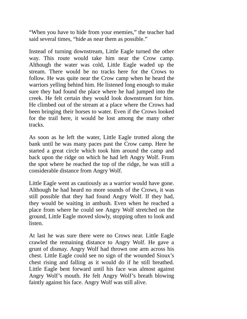"When you have to hide from your enemies," the teacher had said several times, "hide as near them as possible."

Instead of turning downstream, Little Eagle turned the other way. This route would take him near the Crow camp. Although the water was cold, Little Eagle waded up the stream. There would be no tracks here for the Crows to follow. He was quite near the Crow camp when he heard the warriors yelling behind him. He listened long enough to make sure they had found the place where he had jumped into the creek. He felt certain they would look downstream for him. He climbed out of the stream at a place where the Crows had been bringing their horses to water. Even if the Crows looked for the trail here, it would be lost among the many other tracks.

As soon as he left the water, Little Eagle trotted along the bank until he was many paces past the Crow camp. Here he started a great circle which took him around the camp and back upon the ridge on which he had left Angry Wolf. From the spot where he reached the top of the ridge, he was still a considerable distance from Angry Wolf.

Little Eagle went as cautiously as a warrior would have gone. Although he had heard no more sounds of the Crows, it was still possible that they had found Angry Wolf. If they had, they would be waiting in ambush. Even when he reached a place from where he could see Angry Wolf stretched on the ground, Little Eagle moved slowly, stopping often to look and listen.

At last he was sure there were no Crows near. Little Eagle crawled the remaining distance to Angry Wolf. He gave a grunt of dismay. Angry Wolf had thrown one arm across his chest. Little Eagle could see no sign of the wounded Sioux's chest rising and falling as it would do if he still breathed. Little Eagle bent forward until his face was almost against Angry Wolf's mouth. He felt Angry Wolf's breath blowing faintly against his face. Angry Wolf was still alive.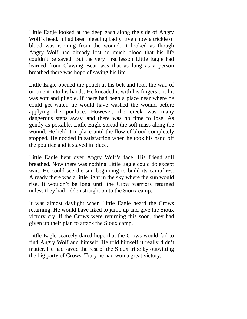Little Eagle looked at the deep gash along the side of Angry Wolf's head. It had been bleeding badly. Even now a trickle of blood was running from the wound. It looked as though Angry Wolf had already lost so much blood that his life couldn't be saved. But the very first lesson Little Eagle had learned from Clawing Bear was that as long as a person breathed there was hope of saving his life.

Little Eagle opened the pouch at his belt and took the wad of ointment into his hands. He kneaded it with his fingers until it was soft and pliable. If there had been a place near where he could get water, he would have washed the wound before applying the poultice. However, the creek was many dangerous steps away, and there was no time to lose. As gently as possible, Little Eagle spread the soft mass along the wound. He held it in place until the flow of blood completely stopped. He nodded in satisfaction when he took his hand off the poultice and it stayed in place.

Little Eagle bent over Angry Wolf's face. His friend still breathed. Now there was nothing Little Eagle could do except wait. He could see the sun beginning to build its campfires. Already there was a little light in the sky where the sun would rise. It wouldn't be long until the Crow warriors returned unless they had ridden straight on to the Sioux camp.

It was almost daylight when Little Eagle heard the Crows returning. He would have liked to jump up and give the Sioux victory cry. If the Crows were returning this soon, they had given up their plan to attack the Sioux camp.

Little Eagle scarcely dared hope that the Crows would fail to find Angry Wolf and himself. He told himself it really didn't matter. He had saved the rest of the Sioux tribe by outwitting the big party of Crows. Truly he had won a great victory.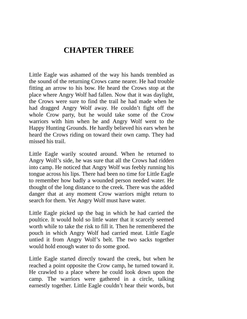### **CHAPTER THREE**

<span id="page-30-0"></span>Little Eagle was ashamed of the way his hands trembled as the sound of the returning Crows came nearer. He had trouble fitting an arrow to his bow. He heard the Crows stop at the place where Angry Wolf had fallen. Now that it was daylight, the Crows were sure to find the trail he had made when he had dragged Angry Wolf away. He couldn't fight off the whole Crow party, but he would take some of the Crow warriors with him when he and Angry Wolf went to the Happy Hunting Grounds. He hardly believed his ears when he heard the Crows riding on toward their own camp. They had missed his trail.

Little Eagle warily scouted around. When he returned to Angry Wolf's side, he was sure that all the Crows had ridden into camp. He noticed that Angry Wolf was feebly running his tongue across his lips. There had been no time for Little Eagle to remember how badly a wounded person needed water. He thought of the long distance to the creek. There was the added danger that at any moment Crow warriors might return to search for them. Yet Angry Wolf must have water.

Little Eagle picked up the bag in which he had carried the poultice. It would hold so little water that it scarcely seemed worth while to take the risk to fill it. Then he remembered the pouch in which Angry Wolf had carried meat. Little Eagle untied it from Angry Wolf's belt. The two sacks together would hold enough water to do some good.

Little Eagle started directly toward the creek, but when he reached a point opposite the Crow camp, he turned toward it. He crawled to a place where he could look down upon the camp. The warriors were gathered in a circle, talking earnestly together. Little Eagle couldn't hear their words, but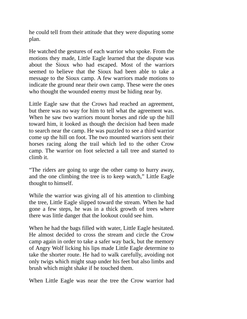he could tell from their attitude that they were disputing some plan.

He watched the gestures of each warrior who spoke. From the motions they made, Little Eagle learned that the dispute was about the Sioux who had escaped. Most of the warriors seemed to believe that the Sioux had been able to take a message to the Sioux camp. A few warriors made motions to indicate the ground near their own camp. These were the ones who thought the wounded enemy must be hiding near by.

Little Eagle saw that the Crows had reached an agreement, but there was no way for him to tell what the agreement was. When he saw two warriors mount horses and ride up the hill toward him, it looked as though the decision had been made to search near the camp. He was puzzled to see a third warrior come up the hill on foot. The two mounted warriors sent their horses racing along the trail which led to the other Crow camp. The warrior on foot selected a tall tree and started to climb it.

"The riders are going to urge the other camp to hurry away, and the one climbing the tree is to keep watch," Little Eagle thought to himself.

While the warrior was giving all of his attention to climbing the tree, Little Eagle slipped toward the stream. When he had gone a few steps, he was in a thick growth of trees where there was little danger that the lookout could see him.

When he had the bags filled with water, Little Eagle hesitated. He almost decided to cross the stream and circle the Crow camp again in order to take a safer way back, but the memory of Angry Wolf licking his lips made Little Eagle determine to take the shorter route. He had to walk carefully, avoiding not only twigs which might snap under his feet but also limbs and brush which might shake if he touched them.

When Little Eagle was near the tree the Crow warrior had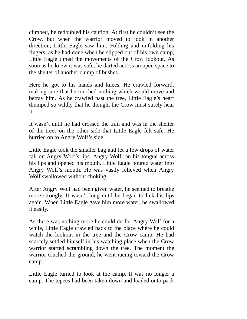climbed, he redoubled his caution. At first he couldn't see the Crow, but when the warrior moved to look in another direction, Little Eagle saw him. Folding and unfolding his fingers, as he had done when he slipped out of his own camp, Little Eagle timed the movements of the Crow lookout. As soon as he knew it was safe, he darted across an open space to the shelter of another clump of bushes.

Here he got to his hands and knees. He crawled forward, making sure that he touched nothing which would move and betray him. As he crawled past the tree, Little Eagle's heart thumped so wildly that he thought the Crow must surely hear it.

It wasn't until he had crossed the trail and was in the shelter of the trees on the other side that Little Eagle felt safe. He hurried on to Angry Wolf's side.

Little Eagle took the smaller bag and let a few drops of water fall on Angry Wolf's lips. Angry Wolf ran his tongue across his lips and opened his mouth. Little Eagle poured water into Angry Wolf's mouth. He was vastly relieved when Angry Wolf swallowed without choking.

After Angry Wolf had been given water, he seemed to breathe more strongly. It wasn't long until he began to lick his lips again. When Little Eagle gave him more water, he swallowed it easily.

As there was nothing more he could do for Angry Wolf for a while, Little Eagle crawled back to the place where he could watch the lookout in the tree and the Crow camp. He had scarcely settled himself in his watching place when the Crow warrior started scrambling down the tree. The moment the warrior touched the ground, he went racing toward the Crow camp.

Little Eagle turned to look at the camp. It was no longer a camp. The tepees had been taken down and loaded onto pack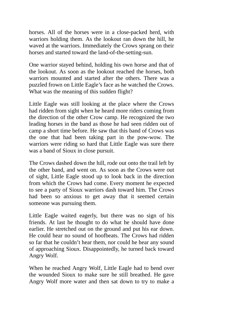horses. All of the horses were in a close-packed herd, with warriors holding them. As the lookout ran down the hill, he waved at the warriors. Immediately the Crows sprang on their horses and started toward the land-of-the-setting-sun.

One warrior stayed behind, holding his own horse and that of the lookout. As soon as the lookout reached the horses, both warriors mounted and started after the others. There was a puzzled frown on Little Eagle's face as he watched the Crows. What was the meaning of this sudden flight?

Little Eagle was still looking at the place where the Crows had ridden from sight when he heard more riders coming from the direction of the other Crow camp. He recognized the two leading horses in the band as those he had seen ridden out of camp a short time before. He saw that this band of Crows was the one that had been taking part in the pow-wow. The warriors were riding so hard that Little Eagle was sure there was a band of Sioux in close pursuit.

The Crows dashed down the hill, rode out onto the trail left by the other band, and went on. As soon as the Crows were out of sight, Little Eagle stood up to look back in the direction from which the Crows had come. Every moment he expected to see a party of Sioux warriors dash toward him. The Crows had been so anxious to get away that it seemed certain someone was pursuing them.

Little Eagle waited eagerly, but there was no sign of his friends. At last he thought to do what he should have done earlier. He stretched out on the ground and put his ear down. He could hear no sound of hoofbeats. The Crows had ridden so far that he couldn't hear them, nor could he hear any sound of approaching Sioux. Disappointedly, he turned back toward Angry Wolf.

When he reached Angry Wolf, Little Eagle had to bend over the wounded Sioux to make sure he still breathed. He gave Angry Wolf more water and then sat down to try to make a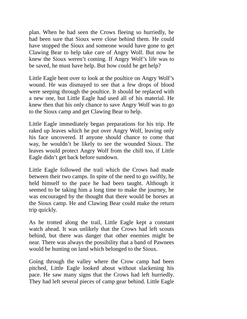plan. When he had seen the Crows fleeing so hurriedly, he had been sure that Sioux were close behind them. He could have stopped the Sioux and someone would have gone to get Clawing Bear to help take care of Angry Wolf. But now he knew the Sioux weren't coming. If Angry Wolf's life was to be saved, he must have help. But how could he get help?

Little Eagle bent over to look at the poultice on Angry Wolf's wound. He was dismayed to see that a few drops of blood were seeping through the poultice. It should be replaced with a new one, but Little Eagle had used all of his material. He knew then that his only chance to save Angry Wolf was to go to the Sioux camp and get Clawing Bear to help.

Little Eagle immediately began preparations for his trip. He raked up leaves which he put over Angry Wolf, leaving only his face uncovered. If anyone should chance to come that way, he wouldn't be likely to see the wounded Sioux. The leaves would protect Angry Wolf from the chill too, if Little Eagle didn't get back before sundown.

Little Eagle followed the trail which the Crows had made between their two camps. In spite of the need to go swiftly, he held himself to the pace he had been taught. Although it seemed to be taking him a long time to make the journey, he was encouraged by the thought that there would be horses at the Sioux camp. He and Clawing Bear could make the return trip quickly.

As he trotted along the trail, Little Eagle kept a constant watch ahead. It was unlikely that the Crows had left scouts behind, but there was danger that other enemies might be near. There was always the possibility that a band of Pawnees would be hunting on land which belonged to the Sioux.

Going through the valley where the Crow camp had been pitched, Little Eagle looked about without slackening his pace. He saw many signs that the Crows had left hurriedly. They had left several pieces of camp gear behind. Little Eagle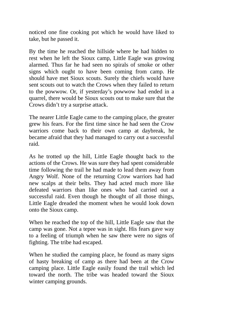noticed one fine cooking pot which he would have liked to take, but he passed it.

By the time he reached the hillside where he had hidden to rest when he left the Sioux camp, Little Eagle was growing alarmed. Thus far he had seen no spirals of smoke or other signs which ought to have been coming from camp. He should have met Sioux scouts. Surely the chiefs would have sent scouts out to watch the Crows when they failed to return to the powwow. Or, if yesterday's powwow had ended in a quarrel, there would be Sioux scouts out to make sure that the Crows didn't try a surprise attack.

The nearer Little Eagle came to the camping place, the greater grew his fears. For the first time since he had seen the Crow warriors come back to their own camp at daybreak, he became afraid that they had managed to carry out a successful raid.

As he trotted up the hill, Little Eagle thought back to the actions of the Crows. He was sure they had spent considerable time following the trail he had made to lead them away from Angry Wolf. None of the returning Crow warriors had had new scalps at their belts. They had acted much more like defeated warriors than like ones who had carried out a successful raid. Even though he thought of all those things, Little Eagle dreaded the moment when he would look down onto the Sioux camp.

When he reached the top of the hill, Little Eagle saw that the camp was gone. Not a tepee was in sight. His fears gave way to a feeling of triumph when he saw there were no signs of fighting. The tribe had escaped.

When he studied the camping place, he found as many signs of hasty breaking of camp as there had been at the Crow camping place. Little Eagle easily found the trail which led toward the north. The tribe was headed toward the Sioux winter camping grounds.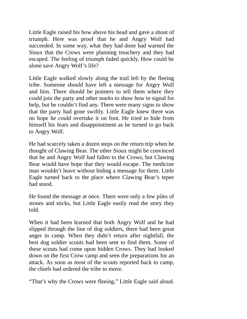Little Eagle raised his bow above his head and gave a shout of triumph. Here was proof that he and Angry Wolf had succeeded. In some way, what they had done had warned the Sioux that the Crows were planning treachery and they had escaped. The feeling of triumph faded quickly. How could he alone save Angry Wolf's life?

Little Eagle walked slowly along the trail left by the fleeing tribe. Someone should have left a message for Angry Wolf and him. There should be pointers to tell them where they could join the party and other marks to show how to signal for help, but he couldn't find any. There were many signs to show that the party had gone swiftly. Little Eagle knew there was no hope he could overtake it on foot. He tried to hide from himself his fears and disappointment as he turned to go back to Angry Wolf.

He had scarcely taken a dozen steps on the return trip when he thought of Clawing Bear. The other Sioux might be convinced that he and Angry Wolf had fallen to the Crows, but Clawing Bear would have hope that they would escape. The medicine man wouldn't leave without hiding a message for them. Little Eagle turned back to the place where Clawing Bear's tepee had stood.

He found the message at once. There were only a few piles of stones and sticks, but Little Eagle easily read the story they told.

When it had been learned that both Angry Wolf and he had slipped through the line of dog soldiers, there had been great anger in camp. When they didn't return after nightfall, the best dog soldier scouts had been sent to find them. Some of these scouts had come upon hidden Crows. They had looked down on the first Crow camp and seen the preparations for an attack. As soon as most of the scouts reported back to camp, the chiefs had ordered the tribe to move.

"That's why the Crows were fleeing," Little Eagle said aloud.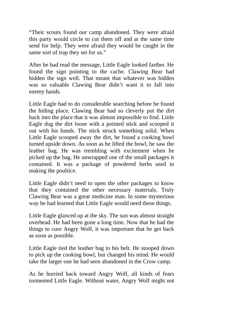"Their scouts found our camp abandoned. They were afraid this party would circle to cut them off and at the same time send for help. They were afraid they would be caught in the same sort of trap they set for us."

After he had read the message, Little Eagle looked farther. He found the sign pointing to the cache. Clawing Bear had hidden the sign well. That meant that whatever was hidden was so valuable Clawing Bear didn't want it to fall into enemy hands.

Little Eagle had to do considerable searching before he found the hiding place. Clawing Bear had so cleverly put the dirt back into the place that it was almost impossible to find. Little Eagle dug the dirt loose with a pointed stick and scooped it out with his hands. The stick struck something solid. When Little Eagle scooped away the dirt, he found a cooking bowl turned upside down. As soon as he lifted the bowl, he saw the leather bag. He was trembling with excitement when he picked up the bag. He unwrapped one of the small packages it contained. It was a package of powdered herbs used in making the poultice.

Little Eagle didn't need to open the other packages to know that they contained the other necessary materials. Truly Clawing Bear was a great medicine man. In some mysterious way he had learned that Little Eagle would need these things.

Little Eagle glanced up at the sky. The sun was almost straight overhead. He had been gone a long time. Now that he had the things to cure Angry Wolf, it was important that he get back as soon as possible.

Little Eagle tied the leather bag to his belt. He stooped down to pick up the cooking bowl, but changed his mind. He would take the larger one he had seen abandoned in the Crow camp.

As he hurried back toward Angry Wolf, all kinds of fears tormented Little Eagle. Without water, Angry Wolf might not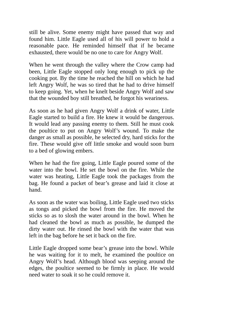still be alive. Some enemy might have passed that way and found him. Little Eagle used all of his will power to hold a reasonable pace. He reminded himself that if he became exhausted, there would be no one to care for Angry Wolf.

When he went through the valley where the Crow camp had been, Little Eagle stopped only long enough to pick up the cooking pot. By the time he reached the hill on which he had left Angry Wolf, he was so tired that he had to drive himself to keep going. Yet, when he knelt beside Angry Wolf and saw that the wounded boy still breathed, he forgot his weariness.

As soon as he had given Angry Wolf a drink of water, Little Eagle started to build a fire. He knew it would be dangerous. It would lead any passing enemy to them. Still he must cook the poultice to put on Angry Wolf's wound. To make the danger as small as possible, he selected dry, hard sticks for the fire. These would give off little smoke and would soon burn to a bed of glowing embers.

When he had the fire going, Little Eagle poured some of the water into the bowl. He set the bowl on the fire. While the water was heating, Little Eagle took the packages from the bag. He found a packet of bear's grease and laid it close at hand.

As soon as the water was boiling, Little Eagle used two sticks as tongs and picked the bowl from the fire. He moved the sticks so as to slosh the water around in the bowl. When he had cleaned the bowl as much as possible, he dumped the dirty water out. He rinsed the bowl with the water that was left in the bag before he set it back on the fire.

Little Eagle dropped some bear's grease into the bowl. While he was waiting for it to melt, he examined the poultice on Angry Wolf's head. Although blood was seeping around the edges, the poultice seemed to be firmly in place. He would need water to soak it so he could remove it.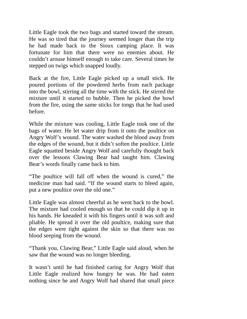Little Eagle took the two bags and started toward the stream. He was so tired that the journey seemed longer than the trip he had made back to the Sioux camping place. It was fortunate for him that there were no enemies about. He couldn't arouse himself enough to take care. Several times he stepped on twigs which snapped loudly.

Back at the fire, Little Eagle picked up a small stick. He poured portions of the powdered herbs from each package into the bowl, stirring all the time with the stick. He stirred the mixture until it started to bubble. Then he picked the bowl from the fire, using the same sticks for tongs that he had used before.

While the mixture was cooling, Little Eagle took one of the bags of water. He let water drip from it onto the poultice on Angry Wolf's wound. The water washed the blood away from the edges of the wound, but it didn't soften the poultice. Little Eagle squatted beside Angry Wolf and carefully thought back over the lessons Clawing Bear had taught him. Clawing Bear's words finally came back to him.

"The poultice will fall off when the wound is cured," the medicine man had said. "If the wound starts to bleed again, put a new poultice over the old one."

Little Eagle was almost cheerful as he went back to the bowl. The mixture had cooled enough so that he could dip it up in his hands. He kneaded it with his fingers until it was soft and pliable. He spread it over the old poultice, making sure that the edges were tight against the skin so that there was no blood seeping from the wound.

"Thank you, Clawing Bear," Little Eagle said aloud, when he saw that the wound was no longer bleeding.

It wasn't until he had finished caring for Angry Wolf that Little Eagle realized how hungry he was. He had eaten nothing since he and Angry Wolf had shared that small piece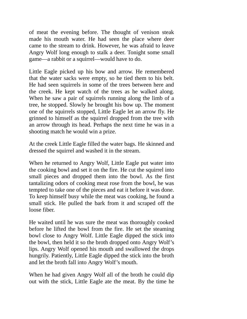of meat the evening before. The thought of venison steak made his mouth water. He had seen the place where deer came to the stream to drink. However, he was afraid to leave Angry Wolf long enough to stalk a deer. Tonight some small game—a rabbit or a squirrel—would have to do.

Little Eagle picked up his bow and arrow. He remembered that the water sacks were empty, so he tied them to his belt. He had seen squirrels in some of the trees between here and the creek. He kept watch of the trees as he walked along. When he saw a pair of squirrels running along the limb of a tree, he stopped. Slowly he brought his bow up. The moment one of the squirrels stopped, Little Eagle let an arrow fly. He grinned to himself as the squirrel dropped from the tree with an arrow through its head. Perhaps the next time he was in a shooting match he would win a prize.

At the creek Little Eagle filled the water bags. He skinned and dressed the squirrel and washed it in the stream.

When he returned to Angry Wolf, Little Eagle put water into the cooking bowl and set it on the fire. He cut the squirrel into small pieces and dropped them into the bowl. As the first tantalizing odors of cooking meat rose from the bowl, he was tempted to take one of the pieces and eat it before it was done. To keep himself busy while the meat was cooking, he found a small stick. He pulled the bark from it and scraped off the loose fiber.

He waited until he was sure the meat was thoroughly cooked before he lifted the bowl from the fire. He set the steaming bowl close to Angry Wolf. Little Eagle dipped the stick into the bowl, then held it so the broth dropped onto Angry Wolf's lips. Angry Wolf opened his mouth and swallowed the drops hungrily. Patiently, Little Eagle dipped the stick into the broth and let the broth fall into Angry Wolf's mouth.

When he had given Angry Wolf all of the broth he could dip out with the stick, Little Eagle ate the meat. By the time he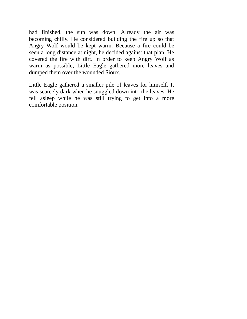had finished, the sun was down. Already the air was becoming chilly. He considered building the fire up so that Angry Wolf would be kept warm. Because a fire could be seen a long distance at night, he decided against that plan. He covered the fire with dirt. In order to keep Angry Wolf as warm as possible, Little Eagle gathered more leaves and dumped them over the wounded Sioux.

Little Eagle gathered a smaller pile of leaves for himself. It was scarcely dark when he snuggled down into the leaves. He fell asleep while he was still trying to get into a more comfortable position.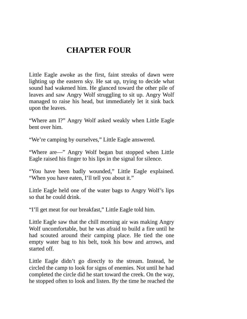## **CHAPTER FOUR**

Little Eagle awoke as the first, faint streaks of dawn were lighting up the eastern sky. He sat up, trying to decide what sound had wakened him. He glanced toward the other pile of leaves and saw Angry Wolf struggling to sit up. Angry Wolf managed to raise his head, but immediately let it sink back upon the leaves.

"Where am I?" Angry Wolf asked weakly when Little Eagle bent over him.

"We're camping by ourselves," Little Eagle answered.

"Where are—" Angry Wolf began but stopped when Little Eagle raised his finger to his lips in the signal for silence.

"You have been badly wounded," Little Eagle explained. "When you have eaten, I'll tell you about it."

Little Eagle held one of the water bags to Angry Wolf's lips so that he could drink.

"I'll get meat for our breakfast," Little Eagle told him.

Little Eagle saw that the chill morning air was making Angry Wolf uncomfortable, but he was afraid to build a fire until he had scouted around their camping place. He tied the one empty water bag to his belt, took his bow and arrows, and started off.

Little Eagle didn't go directly to the stream. Instead, he circled the camp to look for signs of enemies. Not until he had completed the circle did he start toward the creek. On the way, he stopped often to look and listen. By the time he reached the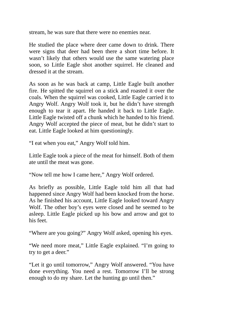stream, he was sure that there were no enemies near.

He studied the place where deer came down to drink. There were signs that deer had been there a short time before. It wasn't likely that others would use the same watering place soon, so Little Eagle shot another squirrel. He cleaned and dressed it at the stream.

As soon as he was back at camp, Little Eagle built another fire. He spitted the squirrel on a stick and roasted it over the coals. When the squirrel was cooked, Little Eagle carried it to Angry Wolf. Angry Wolf took it, but he didn't have strength enough to tear it apart. He handed it back to Little Eagle. Little Eagle twisted off a chunk which he handed to his friend. Angry Wolf accepted the piece of meat, but he didn't start to eat. Little Eagle looked at him questioningly.

"I eat when you eat," Angry Wolf told him.

Little Eagle took a piece of the meat for himself. Both of them ate until the meat was gone.

"Now tell me how I came here," Angry Wolf ordered.

As briefly as possible, Little Eagle told him all that had happened since Angry Wolf had been knocked from the horse. As he finished his account, Little Eagle looked toward Angry Wolf. The other boy's eyes were closed and he seemed to be asleep. Little Eagle picked up his bow and arrow and got to his feet.

"Where are you going?" Angry Wolf asked, opening his eyes.

"We need more meat," Little Eagle explained. "I'm going to try to get a deer."

"Let it go until tomorrow," Angry Wolf answered. "You have done everything. You need a rest. Tomorrow I'll be strong enough to do my share. Let the hunting go until then."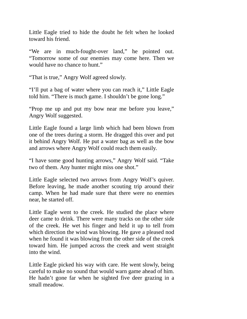Little Eagle tried to hide the doubt he felt when he looked toward his friend.

"We are in much-fought-over land," he pointed out. "Tomorrow some of our enemies may come here. Then we would have no chance to hunt."

"That is true," Angry Wolf agreed slowly.

"I'll put a bag of water where you can reach it," Little Eagle told him. "There is much game. I shouldn't be gone long."

"Prop me up and put my bow near me before you leave," Angry Wolf suggested.

Little Eagle found a large limb which had been blown from one of the trees during a storm. He dragged this over and put it behind Angry Wolf. He put a water bag as well as the bow and arrows where Angry Wolf could reach them easily.

"I have some good hunting arrows," Angry Wolf said. "Take two of them. Any hunter might miss one shot."

Little Eagle selected two arrows from Angry Wolf's quiver. Before leaving, he made another scouting trip around their camp. When he had made sure that there were no enemies near, he started off.

Little Eagle went to the creek. He studied the place where deer came to drink. There were many tracks on the other side of the creek. He wet his finger and held it up to tell from which direction the wind was blowing. He gave a pleased nod when he found it was blowing from the other side of the creek toward him. He jumped across the creek and went straight into the wind.

Little Eagle picked his way with care. He went slowly, being careful to make no sound that would warn game ahead of him. He hadn't gone far when he sighted five deer grazing in a small meadow.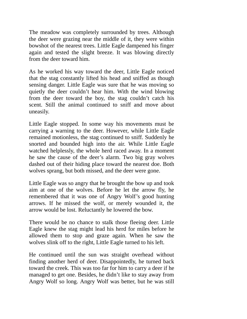The meadow was completely surrounded by trees. Although the deer were grazing near the middle of it, they were within bowshot of the nearest trees. Little Eagle dampened his finger again and tested the slight breeze. It was blowing directly from the deer toward him.

As he worked his way toward the deer, Little Eagle noticed that the stag constantly lifted his head and sniffed as though sensing danger. Little Eagle was sure that he was moving so quietly the deer couldn't hear him. With the wind blowing from the deer toward the boy, the stag couldn't catch his scent. Still the animal continued to sniff and move about uneasily.

Little Eagle stopped. In some way his movements must be carrying a warning to the deer. However, while Little Eagle remained motionless, the stag continued to sniff. Suddenly he snorted and bounded high into the air. While Little Eagle watched helplessly, the whole herd raced away. In a moment he saw the cause of the deer's alarm. Two big gray wolves dashed out of their hiding place toward the nearest doe. Both wolves sprang, but both missed, and the deer were gone.

Little Eagle was so angry that he brought the bow up and took aim at one of the wolves. Before he let the arrow fly, he remembered that it was one of Angry Wolf's good hunting arrows. If he missed the wolf, or merely wounded it, the arrow would be lost. Reluctantly he lowered the bow.

There would be no chance to stalk those fleeing deer. Little Eagle knew the stag might lead his herd for miles before he allowed them to stop and graze again. When he saw the wolves slink off to the right, Little Eagle turned to his left.

He continued until the sun was straight overhead without finding another herd of deer. Disappointedly, he turned back toward the creek. This was too far for him to carry a deer if he managed to get one. Besides, he didn't like to stay away from Angry Wolf so long. Angry Wolf was better, but he was still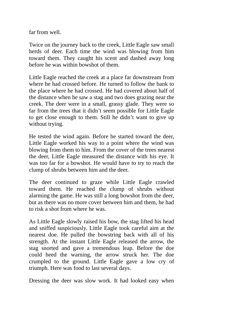far from well.

Twice on the journey back to the creek, Little Eagle saw small herds of deer. Each time the wind was blowing from him toward them. They caught his scent and dashed away long before he was within bowshot of them.

Little Eagle reached the creek at a place far downstream from where he had crossed before. He turned to follow the bank to the place where he had crossed. He had covered about half of the distance when he saw a stag and two does grazing near the creek. The deer were in a small, grassy glade. They were so far from the trees that it didn't seem possible for Little Eagle to get close enough to them. Still he didn't want to give up without trying.

He tested the wind again. Before he started toward the deer, Little Eagle worked his way to a point where the wind was blowing from them to him. From the cover of the trees nearest the deer, Little Eagle measured the distance with his eye. It was too far for a bowshot. He would have to try to reach the clump of shrubs between him and the deer.

The deer continued to graze while Little Eagle crawled toward them. He reached the clump of shrubs without alarming the game. He was still a long bowshot from the deer, but as there was no more cover between him and them, he had to risk a shot from where he was.

As Little Eagle slowly raised his bow, the stag lifted his head and sniffed suspiciously. Little Eagle took careful aim at the nearest doe. He pulled the bowstring back with all of his strength. At the instant Little Eagle released the arrow, the stag snorted and gave a tremendous leap. Before the doe could heed the warning, the arrow struck her. The doe crumpled to the ground. Little Eagle gave a low cry of triumph. Here was food to last several days.

Dressing the deer was slow work. It had looked easy when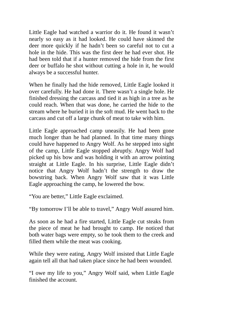Little Eagle had watched a warrior do it. He found it wasn't nearly so easy as it had looked. He could have skinned the deer more quickly if he hadn't been so careful not to cut a hole in the hide. This was the first deer he had ever shot. He had been told that if a hunter removed the hide from the first deer or buffalo he shot without cutting a hole in it, he would always be a successful hunter.

When he finally had the hide removed, Little Eagle looked it over carefully. He had done it. There wasn't a single hole. He finished dressing the carcass and tied it as high in a tree as he could reach. When that was done, he carried the hide to the stream where he buried it in the soft mud. He went back to the carcass and cut off a large chunk of meat to take with him.

Little Eagle approached camp uneasily. He had been gone much longer than he had planned. In that time many things could have happened to Angry Wolf. As he stepped into sight of the camp, Little Eagle stopped abruptly. Angry Wolf had picked up his bow and was holding it with an arrow pointing straight at Little Eagle. In his surprise, Little Eagle didn't notice that Angry Wolf hadn't the strength to draw the bowstring back. When Angry Wolf saw that it was Little Eagle approaching the camp, he lowered the bow.

"You are better," Little Eagle exclaimed.

"By tomorrow I'll be able to travel," Angry Wolf assured him.

As soon as he had a fire started, Little Eagle cut steaks from the piece of meat he had brought to camp. He noticed that both water bags were empty, so he took them to the creek and filled them while the meat was cooking.

While they were eating, Angry Wolf insisted that Little Eagle again tell all that had taken place since he had been wounded.

"I owe my life to you," Angry Wolf said, when Little Eagle finished the account.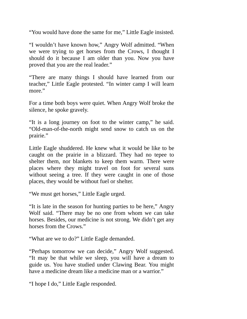"You would have done the same for me," Little Eagle insisted.

"I wouldn't have known how," Angry Wolf admitted. "When we were trying to get horses from the Crows, I thought I should do it because I am older than you. Now you have proved that you are the real leader."

"There are many things I should have learned from our teacher," Little Eagle protested. "In winter camp I will learn more."

For a time both boys were quiet. When Angry Wolf broke the silence, he spoke gravely.

"It is a long journey on foot to the winter camp," he said. "Old-man-of-the-north might send snow to catch us on the prairie."

Little Eagle shuddered. He knew what it would be like to be caught on the prairie in a blizzard. They had no tepee to shelter them, nor blankets to keep them warm. There were places where they might travel on foot for several suns without seeing a tree. If they were caught in one of those places, they would be without fuel or shelter.

"We must get horses," Little Eagle urged.

"It is late in the season for hunting parties to be here," Angry Wolf said. "There may be no one from whom we can take horses. Besides, our medicine is not strong. We didn't get any horses from the Crows."

"What are we to do?" Little Eagle demanded.

"Perhaps tomorrow we can decide," Angry Wolf suggested. "It may be that while we sleep, you will have a dream to guide us. You have studied under Clawing Bear. You might have a medicine dream like a medicine man or a warrior."

"I hope I do," Little Eagle responded.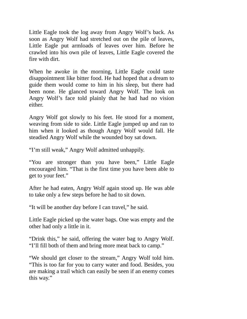Little Eagle took the log away from Angry Wolf's back. As soon as Angry Wolf had stretched out on the pile of leaves, Little Eagle put armloads of leaves over him. Before he crawled into his own pile of leaves, Little Eagle covered the fire with dirt.

When he awoke in the morning, Little Eagle could taste disappointment like bitter food. He had hoped that a dream to guide them would come to him in his sleep, but there had been none. He glanced toward Angry Wolf. The look on Angry Wolf's face told plainly that he had had no vision either.

Angry Wolf got slowly to his feet. He stood for a moment, weaving from side to side. Little Eagle jumped up and ran to him when it looked as though Angry Wolf would fall. He steadied Angry Wolf while the wounded boy sat down.

"I'm still weak," Angry Wolf admitted unhappily.

"You are stronger than you have been," Little Eagle encouraged him. "That is the first time you have been able to get to your feet."

After he had eaten, Angry Wolf again stood up. He was able to take only a few steps before he had to sit down.

"It will be another day before I can travel," he said.

Little Eagle picked up the water bags. One was empty and the other had only a little in it.

"Drink this," he said, offering the water bag to Angry Wolf. "I'll fill both of them and bring more meat back to camp."

"We should get closer to the stream," Angry Wolf told him. "This is too far for you to carry water and food. Besides, you are making a trail which can easily be seen if an enemy comes this way."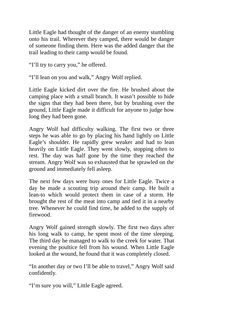Little Eagle had thought of the danger of an enemy stumbling onto his trail. Wherever they camped, there would be danger of someone finding them. Here was the added danger that the trail leading to their camp would be found.

"I'll try to carry you," he offered.

"I'll lean on you and walk," Angry Wolf replied.

Little Eagle kicked dirt over the fire. He brushed about the camping place with a small branch. It wasn't possible to hide the signs that they had been there, but by brushing over the ground, Little Eagle made it difficult for anyone to judge how long they had been gone.

Angry Wolf had difficulty walking. The first two or three steps he was able to go by placing his hand lightly on Little Eagle's shoulder. He rapidly grew weaker and had to lean heavily on Little Eagle. They went slowly, stopping often to rest. The day was half gone by the time they reached the stream. Angry Wolf was so exhausted that he sprawled on the ground and immediately fell asleep.

The next few days were busy ones for Little Eagle. Twice a day he made a scouting trip around their camp. He built a lean-to which would protect them in case of a storm. He brought the rest of the meat into camp and tied it in a nearby tree. Whenever he could find time, he added to the supply of firewood.

Angry Wolf gained strength slowly. The first two days after his long walk to camp, he spent most of the time sleeping. The third day he managed to walk to the creek for water. That evening the poultice fell from his wound. When Little Eagle looked at the wound, he found that it was completely closed.

"In another day or two I'll be able to travel," Angry Wolf said confidently.

"I'm sure you will," Little Eagle agreed.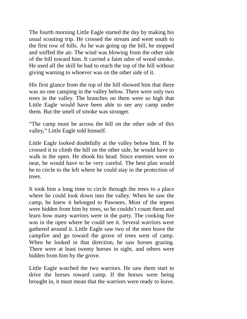The fourth morning Little Eagle started the day by making his usual scouting trip. He crossed the stream and went south to the first row of hills. As he was going up the hill, he stopped and sniffed the air. The wind was blowing from the other side of the hill toward him. It carried a faint odor of wood smoke. He used all the skill he had to reach the top of the hill without giving warning to whoever was on the other side of it.

His first glance from the top of the hill showed him that there was no one camping in the valley below. There were only two trees in the valley. The branches on them were so high that Little Eagle would have been able to see any camp under them. But the smell of smoke was stronger.

"The camp must be across the hill on the other side of this valley," Little Eagle told himself.

Little Eagle looked doubtfully at the valley below him. If he crossed it to climb the hill on the other side, he would have to walk in the open. He shook his head. Since enemies were so near, he would have to be very careful. The best plan would be to circle to the left where he could stay in the protection of trees.

It took him a long time to circle through the trees to a place where he could look down into the valley. When he saw the camp, he knew it belonged to Pawnees. Most of the tepees were hidden from him by trees, so he couldn't count them and learn how many warriors were in the party. The cooking fire was in the open where he could see it. Several warriors were gathered around it. Little Eagle saw two of the men leave the campfire and go toward the grove of trees west of camp. When he looked in that direction, he saw horses grazing. There were at least twenty horses in sight, and others were hidden from him by the grove.

Little Eagle watched the two warriors. He saw them start to drive the horses toward camp. If the horses were being brought in, it must mean that the warriors were ready to leave.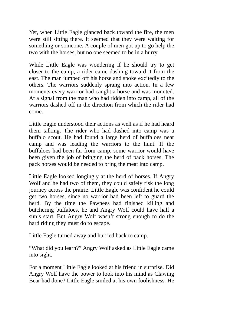Yet, when Little Eagle glanced back toward the fire, the men were still sitting there. It seemed that they were waiting for something or someone. A couple of men got up to go help the two with the horses, but no one seemed to be in a hurry.

While Little Eagle was wondering if he should try to get closer to the camp, a rider came dashing toward it from the east. The man jumped off his horse and spoke excitedly to the others. The warriors suddenly sprang into action. In a few moments every warrior had caught a horse and was mounted. At a signal from the man who had ridden into camp, all of the warriors dashed off in the direction from which the rider had come.

Little Eagle understood their actions as well as if he had heard them talking. The rider who had dashed into camp was a buffalo scout. He had found a large herd of buffaloes near camp and was leading the warriors to the hunt. If the buffaloes had been far from camp, some warrior would have been given the job of bringing the herd of pack horses. The pack horses would be needed to bring the meat into camp.

Little Eagle looked longingly at the herd of horses. If Angry Wolf and he had two of them, they could safely risk the long journey across the prairie. Little Eagle was confident he could get two horses, since no warrior had been left to guard the herd. By the time the Pawnees had finished killing and butchering buffaloes, he and Angry Wolf could have half a sun's start. But Angry Wolf wasn't strong enough to do the hard riding they must do to escape.

Little Eagle turned away and hurried back to camp.

"What did you learn?" Angry Wolf asked as Little Eagle came into sight.

For a moment Little Eagle looked at his friend in surprise. Did Angry Wolf have the power to look into his mind as Clawing Bear had done? Little Eagle smiled at his own foolishness. He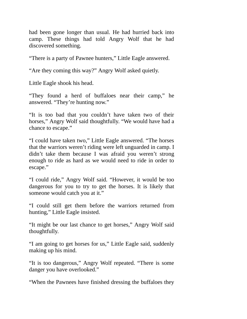had been gone longer than usual. He had hurried back into camp. These things had told Angry Wolf that he had discovered something.

"There is a party of Pawnee hunters," Little Eagle answered.

"Are they coming this way?" Angry Wolf asked quietly.

Little Eagle shook his head.

"They found a herd of buffaloes near their camp," he answered. "They're hunting now."

"It is too bad that you couldn't have taken two of their horses," Angry Wolf said thoughtfully. "We would have had a chance to escape."

"I could have taken two," Little Eagle answered. "The horses that the warriors weren't riding were left unguarded in camp. I didn't take them because I was afraid you weren't strong enough to ride as hard as we would need to ride in order to escape."

"I could ride," Angry Wolf said. "However, it would be too dangerous for you to try to get the horses. It is likely that someone would catch you at it."

"I could still get them before the warriors returned from hunting," Little Eagle insisted.

"It might be our last chance to get horses," Angry Wolf said thoughtfully.

"I am going to get horses for us," Little Eagle said, suddenly making up his mind.

"It is too dangerous," Angry Wolf repeated. "There is some danger you have overlooked."

"When the Pawnees have finished dressing the buffaloes they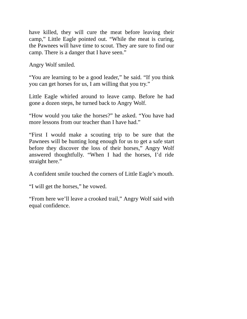have killed, they will cure the meat before leaving their camp," Little Eagle pointed out. "While the meat is curing, the Pawnees will have time to scout. They are sure to find our camp. There is a danger that I have seen."

Angry Wolf smiled.

"You are learning to be a good leader," he said. "If you think you can get horses for us, I am willing that you try."

Little Eagle whirled around to leave camp. Before he had gone a dozen steps, he turned back to Angry Wolf.

"How would you take the horses?" he asked. "You have had more lessons from our teacher than I have had."

"First I would make a scouting trip to be sure that the Pawnees will be hunting long enough for us to get a safe start before they discover the loss of their horses," Angry Wolf answered thoughtfully. "When I had the horses, I'd ride straight here."

A confident smile touched the corners of Little Eagle's mouth.

"I will get the horses," he vowed.

"From here we'll leave a crooked trail," Angry Wolf said with equal confidence.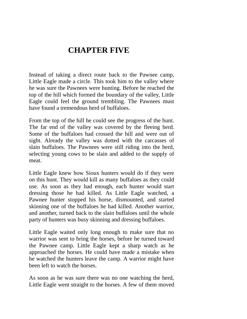## **CHAPTER FIVE**

Instead of taking a direct route back to the Pawnee camp, Little Eagle made a circle. This took him to the valley where he was sure the Pawnees were hunting. Before he reached the top of the hill which formed the boundary of the valley, Little Eagle could feel the ground trembling. The Pawnees must have found a tremendous herd of buffaloes.

From the top of the hill he could see the progress of the hunt. The far end of the valley was covered by the fleeing herd. Some of the buffaloes had crossed the hill and were out of sight. Already the valley was dotted with the carcasses of slain buffaloes. The Pawnees were still riding into the herd, selecting young cows to be slain and added to the supply of meat.

Little Eagle knew how Sioux hunters would do if they were on this hunt. They would kill as many buffaloes as they could use. As soon as they had enough, each hunter would start dressing those he had killed. As Little Eagle watched, a Pawnee hunter stopped his horse, dismounted, and started skinning one of the buffaloes he had killed. Another warrior, and another, turned back to the slain buffaloes until the whole party of hunters was busy skinning and dressing buffaloes.

Little Eagle waited only long enough to make sure that no warrior was sent to bring the horses, before he turned toward the Pawnee camp. Little Eagle kept a sharp watch as he approached the horses. He could have made a mistake when he watched the hunters leave the camp. A warrior might have been left to watch the horses.

As soon as he was sure there was no one watching the herd, Little Eagle went straight to the horses. A few of them moved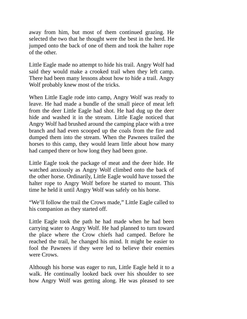away from him, but most of them continued grazing. He selected the two that he thought were the best in the herd. He jumped onto the back of one of them and took the halter rope of the other.

Little Eagle made no attempt to hide his trail. Angry Wolf had said they would make a crooked trail when they left camp. There had been many lessons about how to hide a trail. Angry Wolf probably knew most of the tricks.

When Little Eagle rode into camp, Angry Wolf was ready to leave. He had made a bundle of the small piece of meat left from the deer Little Eagle had shot. He had dug up the deer hide and washed it in the stream. Little Eagle noticed that Angry Wolf had brushed around the camping place with a tree branch and had even scooped up the coals from the fire and dumped them into the stream. When the Pawnees trailed the horses to this camp, they would learn little about how many had camped there or how long they had been gone.

Little Eagle took the package of meat and the deer hide. He watched anxiously as Angry Wolf climbed onto the back of the other horse. Ordinarily, Little Eagle would have tossed the halter rope to Angry Wolf before he started to mount. This time he held it until Angry Wolf was safely on his horse.

"We'll follow the trail the Crows made," Little Eagle called to his companion as they started off.

Little Eagle took the path he had made when he had been carrying water to Angry Wolf. He had planned to turn toward the place where the Crow chiefs had camped. Before he reached the trail, he changed his mind. It might be easier to fool the Pawnees if they were led to believe their enemies were Crows.

Although his horse was eager to run, Little Eagle held it to a walk. He continually looked back over his shoulder to see how Angry Wolf was getting along. He was pleased to see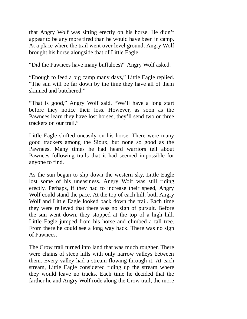that Angry Wolf was sitting erectly on his horse. He didn't appear to be any more tired than he would have been in camp. At a place where the trail went over level ground, Angry Wolf brought his horse alongside that of Little Eagle.

"Did the Pawnees have many buffaloes?" Angry Wolf asked.

"Enough to feed a big camp many days," Little Eagle replied. "The sun will be far down by the time they have all of them skinned and butchered."

"That is good," Angry Wolf said. "We'll have a long start before they notice their loss. However, as soon as the Pawnees learn they have lost horses, they'll send two or three trackers on our trail."

Little Eagle shifted uneasily on his horse. There were many good trackers among the Sioux, but none so good as the Pawnees. Many times he had heard warriors tell about Pawnees following trails that it had seemed impossible for anyone to find.

As the sun began to slip down the western sky, Little Eagle lost some of his uneasiness. Angry Wolf was still riding erectly. Perhaps, if they had to increase their speed, Angry Wolf could stand the pace. At the top of each hill, both Angry Wolf and Little Eagle looked back down the trail. Each time they were relieved that there was no sign of pursuit. Before the sun went down, they stopped at the top of a high hill. Little Eagle jumped from his horse and climbed a tall tree. From there he could see a long way back. There was no sign of Pawnees.

The Crow trail turned into land that was much rougher. There were chains of steep hills with only narrow valleys between them. Every valley had a stream flowing through it. At each stream, Little Eagle considered riding up the stream where they would leave no tracks. Each time he decided that the farther he and Angry Wolf rode along the Crow trail, the more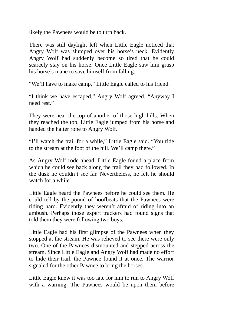likely the Pawnees would be to turn back.

There was still daylight left when Little Eagle noticed that Angry Wolf was slumped over his horse's neck. Evidently Angry Wolf had suddenly become so tired that he could scarcely stay on his horse. Once Little Eagle saw him grasp his horse's mane to save himself from falling.

"We'll have to make camp," Little Eagle called to his friend.

"I think we have escaped," Angry Wolf agreed. "Anyway I need rest."

They were near the top of another of those high hills. When they reached the top, Little Eagle jumped from his horse and handed the halter rope to Angry Wolf.

"I'll watch the trail for a while," Little Eagle said. "You ride to the stream at the foot of the hill. We'll camp there."

As Angry Wolf rode ahead, Little Eagle found a place from which he could see back along the trail they had followed. In the dusk he couldn't see far. Nevertheless, he felt he should watch for a while.

Little Eagle heard the Pawnees before he could see them. He could tell by the pound of hoofbeats that the Pawnees were riding hard. Evidently they weren't afraid of riding into an ambush. Perhaps those expert trackers had found signs that told them they were following two boys.

Little Eagle had his first glimpse of the Pawnees when they stopped at the stream. He was relieved to see there were only two. One of the Pawnees dismounted and stepped across the stream. Since Little Eagle and Angry Wolf had made no effort to hide their trail, the Pawnee found it at once. The warrior signaled for the other Pawnee to bring the horses.

Little Eagle knew it was too late for him to run to Angry Wolf with a warning. The Pawnees would be upon them before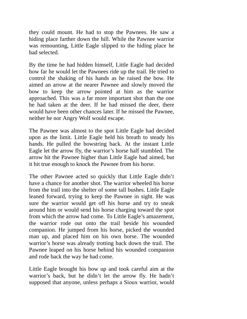they could mount. He had to stop the Pawnees. He saw a hiding place farther down the hill. While the Pawnee warrior was remounting, Little Eagle slipped to the hiding place he had selected.

By the time he had hidden himself, Little Eagle had decided how far he would let the Pawnees ride up the trail. He tried to control the shaking of his hands as he raised the bow. He aimed an arrow at the nearer Pawnee and slowly moved the bow to keep the arrow pointed at him as the warrior approached. This was a far more important shot than the one he had taken at the deer. If he had missed the deer, there would have been other chances later. If he missed the Pawnee, neither he nor Angry Wolf would escape.

The Pawnee was almost to the spot Little Eagle had decided upon as the limit. Little Eagle held his breath to steady his hands. He pulled the bowstring back. At the instant Little Eagle let the arrow fly, the warrior's horse half stumbled. The arrow hit the Pawnee higher than Little Eagle had aimed, but it hit true enough to knock the Pawnee from his horse.

The other Pawnee acted so quickly that Little Eagle didn't have a chance for another shot. The warrior wheeled his horse from the trail into the shelter of some tall bushes. Little Eagle leaned forward, trying to keep the Pawnee in sight. He was sure the warrior would get off his horse and try to sneak around him or would send his horse charging toward the spot from which the arrow had come. To Little Eagle's amazement, the warrior rode out onto the trail beside his wounded companion. He jumped from his horse, picked the wounded man up, and placed him on his own horse. The wounded warrior's horse was already trotting back down the trail. The Pawnee leaped on his horse behind his wounded companion and rode back the way he had come.

Little Eagle brought his bow up and took careful aim at the warrior's back, but he didn't let the arrow fly. He hadn't supposed that anyone, unless perhaps a Sioux warrior, would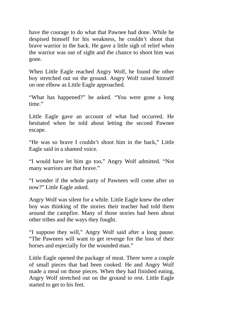have the courage to do what that Pawnee had done. While he despised himself for his weakness, he couldn't shoot that brave warrior in the back. He gave a little sigh of relief when the warrior was out of sight and the chance to shoot him was gone.

When Little Eagle reached Angry Wolf, he found the other boy stretched out on the ground. Angry Wolf raised himself on one elbow as Little Eagle approached.

"What has happened?" he asked. "You were gone a long time."

Little Eagle gave an account of what had occurred. He hesitated when he told about letting the second Pawnee escape.

"He was so brave I couldn't shoot him in the back," Little Eagle said in a shamed voice.

"I would have let him go too," Angry Wolf admitted. "Not many warriors are that brave."

"I wonder if the whole party of Pawnees will come after us now?" Little Eagle asked.

Angry Wolf was silent for a while. Little Eagle knew the other boy was thinking of the stories their teacher had told them around the campfire. Many of those stories had been about other tribes and the ways they fought.

"I suppose they will," Angry Wolf said after a long pause. "The Pawnees will want to get revenge for the loss of their horses and especially for the wounded man."

Little Eagle opened the package of meat. There were a couple of small pieces that had been cooked. He and Angry Wolf made a meal on those pieces. When they had finished eating, Angry Wolf stretched out on the ground to rest. Little Eagle started to get to his feet.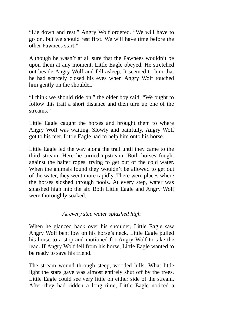"Lie down and rest," Angry Wolf ordered. "We will have to go on, but we should rest first. We will have time before the other Pawnees start."

Although he wasn't at all sure that the Pawnees wouldn't be upon them at any moment, Little Eagle obeyed. He stretched out beside Angry Wolf and fell asleep. It seemed to him that he had scarcely closed his eyes when Angry Wolf touched him gently on the shoulder.

"I think we should ride on," the older boy said. "We ought to follow this trail a short distance and then turn up one of the streams."

Little Eagle caught the horses and brought them to where Angry Wolf was waiting. Slowly and painfully, Angry Wolf got to his feet. Little Eagle had to help him onto his horse.

Little Eagle led the way along the trail until they came to the third stream. Here he turned upstream. Both horses fought against the halter ropes, trying to get out of the cold water. When the animals found they wouldn't be allowed to get out of the water, they went more rapidly. There were places where the horses sloshed through pools. At every step, water was splashed high into the air. Both Little Eagle and Angry Wolf were thoroughly soaked.

## *At every step water splashed high*

When he glanced back over his shoulder, Little Eagle saw Angry Wolf bent low on his horse's neck. Little Eagle pulled his horse to a stop and motioned for Angry Wolf to take the lead. If Angry Wolf fell from his horse, Little Eagle wanted to be ready to save his friend.

The stream wound through steep, wooded hills. What little light the stars gave was almost entirely shut off by the trees. Little Eagle could see very little on either side of the stream. After they had ridden a long time, Little Eagle noticed a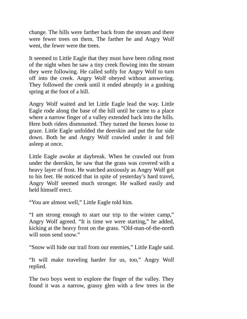change. The hills were farther back from the stream and there were fewer trees on them. The farther he and Angry Wolf went, the fewer were the trees.

It seemed to Little Eagle that they must have been riding most of the night when he saw a tiny creek flowing into the stream they were following. He called softly for Angry Wolf to turn off into the creek. Angry Wolf obeyed without answering. They followed the creek until it ended abruptly in a gushing spring at the foot of a hill.

Angry Wolf waited and let Little Eagle lead the way. Little Eagle rode along the base of the hill until he came to a place where a narrow finger of a valley extended back into the hills. Here both riders dismounted. They turned the horses loose to graze. Little Eagle unfolded the deerskin and put the fur side down. Both he and Angry Wolf crawled under it and fell asleep at once.

Little Eagle awoke at daybreak. When he crawled out from under the deerskin, he saw that the grass was covered with a heavy layer of frost. He watched anxiously as Angry Wolf got to his feet. He noticed that in spite of yesterday's hard travel, Angry Wolf seemed much stronger. He walked easily and held himself erect.

"You are almost well," Little Eagle told him.

"I am strong enough to start our trip to the winter camp," Angry Wolf agreed. "It is time we were starting," he added, kicking at the heavy frost on the grass. "Old-man-of-the-north will soon send snow."

"Snow will hide our trail from our enemies," Little Eagle said.

"It will make traveling harder for us, too," Angry Wolf replied.

The two boys went to explore the finger of the valley. They found it was a narrow, grassy glen with a few trees in the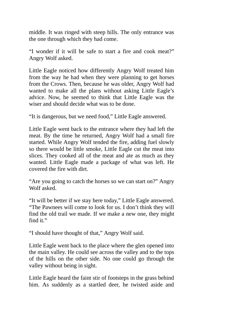middle. It was ringed with steep hills. The only entrance was the one through which they had come.

"I wonder if it will be safe to start a fire and cook meat?" Angry Wolf asked.

Little Eagle noticed how differently Angry Wolf treated him from the way he had when they were planning to get horses from the Crows. Then, because he was older, Angry Wolf had wanted to make all the plans without asking Little Eagle's advice. Now, he seemed to think that Little Eagle was the wiser and should decide what was to be done.

"It is dangerous, but we need food," Little Eagle answered.

Little Eagle went back to the entrance where they had left the meat. By the time he returned, Angry Wolf had a small fire started. While Angry Wolf tended the fire, adding fuel slowly so there would be little smoke, Little Eagle cut the meat into slices. They cooked all of the meat and ate as much as they wanted. Little Eagle made a package of what was left. He covered the fire with dirt.

"Are you going to catch the horses so we can start on?" Angry Wolf asked.

"It will be better if we stay here today," Little Eagle answered. "The Pawnees will come to look for us. I don't think they will find the old trail we made. If we make a new one, they might find it."

"I should have thought of that," Angry Wolf said.

Little Eagle went back to the place where the glen opened into the main valley. He could see across the valley and to the tops of the hills on the other side. No one could go through the valley without being in sight.

Little Eagle heard the faint stir of footsteps in the grass behind him. As suddenly as a startled deer, he twisted aside and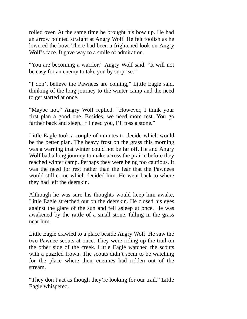rolled over. At the same time he brought his bow up. He had an arrow pointed straight at Angry Wolf. He felt foolish as he lowered the bow. There had been a frightened look on Angry Wolf's face. It gave way to a smile of admiration.

"You are becoming a warrior," Angry Wolf said. "It will not be easy for an enemy to take you by surprise."

"I don't believe the Pawnees are coming," Little Eagle said, thinking of the long journey to the winter camp and the need to get started at once.

"Maybe not," Angry Wolf replied. "However, I think your first plan a good one. Besides, we need more rest. You go farther back and sleep. If I need you, I'll toss a stone."

Little Eagle took a couple of minutes to decide which would be the better plan. The heavy frost on the grass this morning was a warning that winter could not be far off. He and Angry Wolf had a long journey to make across the prairie before they reached winter camp. Perhaps they were being too cautious. It was the need for rest rather than the fear that the Pawnees would still come which decided him. He went back to where they had left the deerskin.

Although he was sure his thoughts would keep him awake, Little Eagle stretched out on the deerskin. He closed his eyes against the glare of the sun and fell asleep at once. He was awakened by the rattle of a small stone, falling in the grass near him.

Little Eagle crawled to a place beside Angry Wolf. He saw the two Pawnee scouts at once. They were riding up the trail on the other side of the creek. Little Eagle watched the scouts with a puzzled frown. The scouts didn't seem to be watching for the place where their enemies had ridden out of the stream.

"They don't act as though they're looking for our trail," Little Eagle whispered.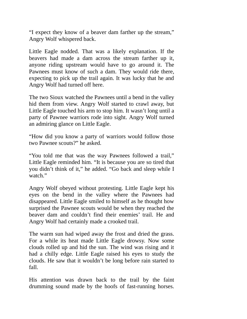"I expect they know of a beaver dam farther up the stream," Angry Wolf whispered back.

Little Eagle nodded. That was a likely explanation. If the beavers had made a dam across the stream farther up it, anyone riding upstream would have to go around it. The Pawnees must know of such a dam. They would ride there, expecting to pick up the trail again. It was lucky that he and Angry Wolf had turned off here.

The two Sioux watched the Pawnees until a bend in the valley hid them from view. Angry Wolf started to crawl away, but Little Eagle touched his arm to stop him. It wasn't long until a party of Pawnee warriors rode into sight. Angry Wolf turned an admiring glance on Little Eagle.

"How did you know a party of warriors would follow those two Pawnee scouts?" he asked.

"You told me that was the way Pawnees followed a trail," Little Eagle reminded him. "It is because you are so tired that you didn't think of it," he added. "Go back and sleep while I watch."

Angry Wolf obeyed without protesting. Little Eagle kept his eyes on the bend in the valley where the Pawnees had disappeared. Little Eagle smiled to himself as he thought how surprised the Pawnee scouts would be when they reached the beaver dam and couldn't find their enemies' trail. He and Angry Wolf had certainly made a crooked trail.

The warm sun had wiped away the frost and dried the grass. For a while its heat made Little Eagle drowsy. Now some clouds rolled up and hid the sun. The wind was rising and it had a chilly edge. Little Eagle raised his eyes to study the clouds. He saw that it wouldn't be long before rain started to fall.

His attention was drawn back to the trail by the faint drumming sound made by the hoofs of fast-running horses.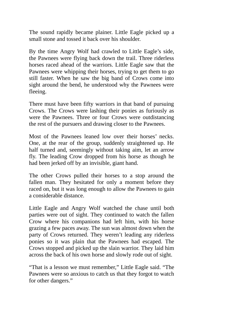The sound rapidly became plainer. Little Eagle picked up a small stone and tossed it back over his shoulder.

By the time Angry Wolf had crawled to Little Eagle's side, the Pawnees were flying back down the trail. Three riderless horses raced ahead of the warriors. Little Eagle saw that the Pawnees were whipping their horses, trying to get them to go still faster. When he saw the big band of Crows come into sight around the bend, he understood why the Pawnees were fleeing.

There must have been fifty warriors in that band of pursuing Crows. The Crows were lashing their ponies as furiously as were the Pawnees. Three or four Crows were outdistancing the rest of the pursuers and drawing closer to the Pawnees.

Most of the Pawnees leaned low over their horses' necks. One, at the rear of the group, suddenly straightened up. He half turned and, seemingly without taking aim, let an arrow fly. The leading Crow dropped from his horse as though he had been jerked off by an invisible, giant hand.

The other Crows pulled their horses to a stop around the fallen man. They hesitated for only a moment before they raced on, but it was long enough to allow the Pawnees to gain a considerable distance.

Little Eagle and Angry Wolf watched the chase until both parties were out of sight. They continued to watch the fallen Crow where his companions had left him, with his horse grazing a few paces away. The sun was almost down when the party of Crows returned. They weren't leading any riderless ponies so it was plain that the Pawnees had escaped. The Crows stopped and picked up the slain warrior. They laid him across the back of his own horse and slowly rode out of sight.

"That is a lesson we must remember," Little Eagle said. "The Pawnees were so anxious to catch us that they forgot to watch for other dangers."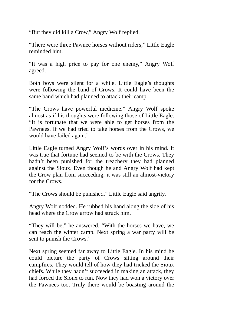"But they did kill a Crow," Angry Wolf replied.

"There were three Pawnee horses without riders," Little Eagle reminded him.

"It was a high price to pay for one enemy," Angry Wolf agreed.

Both boys were silent for a while. Little Eagle's thoughts were following the band of Crows. It could have been the same band which had planned to attack their camp.

"The Crows have powerful medicine." Angry Wolf spoke almost as if his thoughts were following those of Little Eagle. "It is fortunate that we were able to get horses from the Pawnees. If we had tried to take horses from the Crows, we would have failed again."

Little Eagle turned Angry Wolf's words over in his mind. It was true that fortune had seemed to be with the Crows. They hadn't been punished for the treachery they had planned against the Sioux. Even though he and Angry Wolf had kept the Crow plan from succeeding, it was still an almost-victory for the Crows.

"The Crows should be punished," Little Eagle said angrily.

Angry Wolf nodded. He rubbed his hand along the side of his head where the Crow arrow had struck him.

"They will be," he answered. "With the horses we have, we can reach the winter camp. Next spring a war party will be sent to punish the Crows."

Next spring seemed far away to Little Eagle. In his mind he could picture the party of Crows sitting around their campfires. They would tell of how they had tricked the Sioux chiefs. While they hadn't succeeded in making an attack, they had forced the Sioux to run. Now they had won a victory over the Pawnees too. Truly there would be boasting around the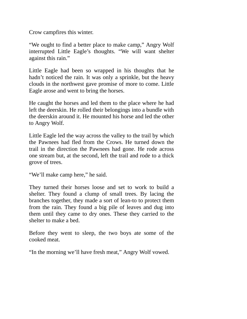Crow campfires this winter.

"We ought to find a better place to make camp," Angry Wolf interrupted Little Eagle's thoughts. "We will want shelter against this rain."

Little Eagle had been so wrapped in his thoughts that he hadn't noticed the rain. It was only a sprinkle, but the heavy clouds in the northwest gave promise of more to come. Little Eagle arose and went to bring the horses.

He caught the horses and led them to the place where he had left the deerskin. He rolled their belongings into a bundle with the deerskin around it. He mounted his horse and led the other to Angry Wolf.

Little Eagle led the way across the valley to the trail by which the Pawnees had fled from the Crows. He turned down the trail in the direction the Pawnees had gone. He rode across one stream but, at the second, left the trail and rode to a thick grove of trees.

"We'll make camp here," he said.

They turned their horses loose and set to work to build a shelter. They found a clump of small trees. By lacing the branches together, they made a sort of lean-to to protect them from the rain. They found a big pile of leaves and dug into them until they came to dry ones. These they carried to the shelter to make a bed.

Before they went to sleep, the two boys ate some of the cooked meat.

"In the morning we'll have fresh meat," Angry Wolf vowed.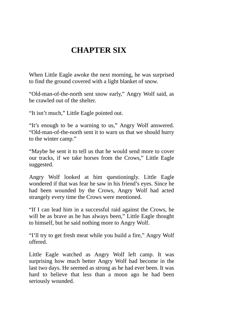## **CHAPTER SIX**

When Little Eagle awoke the next morning, he was surprised to find the ground covered with a light blanket of snow.

"Old-man-of-the-north sent snow early," Angry Wolf said, as he crawled out of the shelter.

"It isn't much," Little Eagle pointed out.

"It's enough to be a warning to us," Angry Wolf answered. "Old-man-of-the-north sent it to warn us that we should hurry to the winter camp."

"Maybe he sent it to tell us that he would send more to cover our tracks, if we take horses from the Crows," Little Eagle suggested.

Angry Wolf looked at him questioningly. Little Eagle wondered if that was fear he saw in his friend's eyes. Since he had been wounded by the Crows, Angry Wolf had acted strangely every time the Crows were mentioned.

"If I can lead him in a successful raid against the Crows, he will be as brave as he has always been," Little Eagle thought to himself, but he said nothing more to Angry Wolf.

"I'll try to get fresh meat while you build a fire," Angry Wolf offered.

Little Eagle watched as Angry Wolf left camp. It was surprising how much better Angry Wolf had become in the last two days. He seemed as strong as he had ever been. It was hard to believe that less than a moon ago he had been seriously wounded.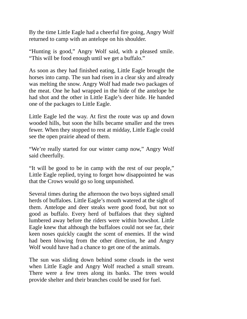By the time Little Eagle had a cheerful fire going, Angry Wolf returned to camp with an antelope on his shoulder.

"Hunting is good," Angry Wolf said, with a pleased smile. "This will be food enough until we get a buffalo."

As soon as they had finished eating, Little Eagle brought the horses into camp. The sun had risen in a clear sky and already was melting the snow. Angry Wolf had made two packages of the meat. One he had wrapped in the hide of the antelope he had shot and the other in Little Eagle's deer hide. He handed one of the packages to Little Eagle.

Little Eagle led the way. At first the route was up and down wooded hills, but soon the hills became smaller and the trees fewer. When they stopped to rest at midday, Little Eagle could see the open prairie ahead of them.

"We're really started for our winter camp now," Angry Wolf said cheerfully.

"It will be good to be in camp with the rest of our people," Little Eagle replied, trying to forget how disappointed he was that the Crows would go so long unpunished.

Several times during the afternoon the two boys sighted small herds of buffaloes. Little Eagle's mouth watered at the sight of them. Antelope and deer steaks were good food, but not so good as buffalo. Every herd of buffaloes that they sighted lumbered away before the riders were within bowshot. Little Eagle knew that although the buffaloes could not see far, their keen noses quickly caught the scent of enemies. If the wind had been blowing from the other direction, he and Angry Wolf would have had a chance to get one of the animals.

The sun was sliding down behind some clouds in the west when Little Eagle and Angry Wolf reached a small stream. There were a few trees along its banks. The trees would provide shelter and their branches could be used for fuel.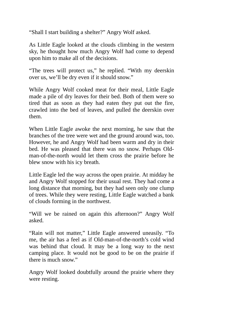"Shall I start building a shelter?" Angry Wolf asked.

As Little Eagle looked at the clouds climbing in the western sky, he thought how much Angry Wolf had come to depend upon him to make all of the decisions.

"The trees will protect us," he replied. "With my deerskin over us, we'll be dry even if it should snow."

While Angry Wolf cooked meat for their meal, Little Eagle made a pile of dry leaves for their bed. Both of them were so tired that as soon as they had eaten they put out the fire, crawled into the bed of leaves, and pulled the deerskin over them.

When Little Eagle awoke the next morning, he saw that the branches of the tree were wet and the ground around was, too. However, he and Angry Wolf had been warm and dry in their bed. He was pleased that there was no snow. Perhaps Oldman-of-the-north would let them cross the prairie before he blew snow with his icy breath.

Little Eagle led the way across the open prairie. At midday he and Angry Wolf stopped for their usual rest. They had come a long distance that morning, but they had seen only one clump of trees. While they were resting, Little Eagle watched a bank of clouds forming in the northwest.

"Will we be rained on again this afternoon?" Angry Wolf asked.

"Rain will not matter," Little Eagle answered uneasily. "To me, the air has a feel as if Old-man-of-the-north's cold wind was behind that cloud. It may be a long way to the next camping place. It would not be good to be on the prairie if there is much snow."

Angry Wolf looked doubtfully around the prairie where they were resting.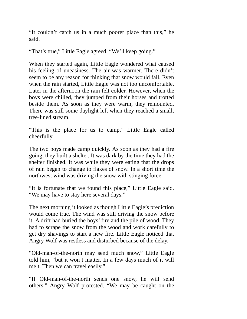"It couldn't catch us in a much poorer place than this," he said.

"That's true," Little Eagle agreed. "We'll keep going."

When they started again, Little Eagle wondered what caused his feeling of uneasiness. The air was warmer. There didn't seem to be any reason for thinking that snow would fall. Even when the rain started, Little Eagle was not too uncomfortable. Later in the afternoon the rain felt colder. However, when the boys were chilled, they jumped from their horses and trotted beside them. As soon as they were warm, they remounted. There was still some daylight left when they reached a small, tree-lined stream.

"This is the place for us to camp," Little Eagle called cheerfully.

The two boys made camp quickly. As soon as they had a fire going, they built a shelter. It was dark by the time they had the shelter finished. It was while they were eating that the drops of rain began to change to flakes of snow. In a short time the northwest wind was driving the snow with stinging force.

"It is fortunate that we found this place," Little Eagle said. "We may have to stay here several days."

The next morning it looked as though Little Eagle's prediction would come true. The wind was still driving the snow before it. A drift had buried the boys' fire and the pile of wood. They had to scrape the snow from the wood and work carefully to get dry shavings to start a new fire. Little Eagle noticed that Angry Wolf was restless and disturbed because of the delay.

"Old-man-of-the-north may send much snow," Little Eagle told him, "but it won't matter. In a few days much of it will melt. Then we can travel easily."

"If Old-man-of-the-north sends one snow, he will send others," Angry Wolf protested. "We may be caught on the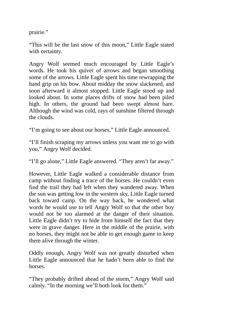prairie."

"This will be the last snow of this moon," Little Eagle stated with certainty.

Angry Wolf seemed much encouraged by Little Eagle's words. He took his quiver of arrows and began smoothing some of the arrows. Little Eagle spent his time rewrapping the hand grip on his bow. About midday the snow slackened, and soon afterward it almost stopped. Little Eagle stood up and looked about. In some places drifts of snow had been piled high. In others, the ground had been swept almost bare. Although the wind was cold, rays of sunshine filtered through the clouds.

"I'm going to see about our horses," Little Eagle announced.

"I'll finish scraping my arrows unless you want me to go with you," Angry Wolf decided.

"I'll go alone," Little Eagle answered. "They aren't far away."

However, Little Eagle walked a considerable distance from camp without finding a trace of the horses. He couldn't even find the trail they had left when they wandered away. When the sun was getting low in the western sky, Little Eagle turned back toward camp. On the way back, he wondered what words he would use to tell Angry Wolf so that the other boy would not be too alarmed at the danger of their situation. Little Eagle didn't try to hide from himself the fact that they were in grave danger. Here in the middle of the prairie, with no horses, they might not be able to get enough game to keep them alive through the winter.

Oddly enough, Angry Wolf was not greatly disturbed when Little Eagle announced that he hadn't been able to find the horses.

"They probably drifted ahead of the storm," Angry Wolf said calmly. "In the morning we'll both look for them."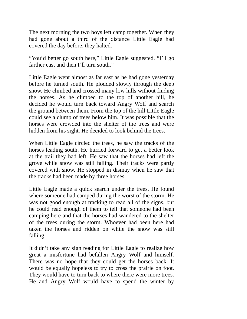The next morning the two boys left camp together. When they had gone about a third of the distance Little Eagle had covered the day before, they halted.

"You'd better go south here," Little Eagle suggested. "I'll go farther east and then I'll turn south."

Little Eagle went almost as far east as he had gone yesterday before he turned south. He plodded slowly through the deep snow. He climbed and crossed many low hills without finding the horses. As he climbed to the top of another hill, he decided he would turn back toward Angry Wolf and search the ground between them. From the top of the hill Little Eagle could see a clump of trees below him. It was possible that the horses were crowded into the shelter of the trees and were hidden from his sight. He decided to look behind the trees.

When Little Eagle circled the trees, he saw the tracks of the horses leading south. He hurried forward to get a better look at the trail they had left. He saw that the horses had left the grove while snow was still falling. Their tracks were partly covered with snow. He stopped in dismay when he saw that the tracks had been made by three horses.

Little Eagle made a quick search under the trees. He found where someone had camped during the worst of the storm. He was not good enough at tracking to read all of the signs, but he could read enough of them to tell that someone had been camping here and that the horses had wandered to the shelter of the trees during the storm. Whoever had been here had taken the horses and ridden on while the snow was still falling.

It didn't take any sign reading for Little Eagle to realize how great a misfortune had befallen Angry Wolf and himself. There was no hope that they could get the horses back. It would be equally hopeless to try to cross the prairie on foot. They would have to turn back to where there were more trees. He and Angry Wolf would have to spend the winter by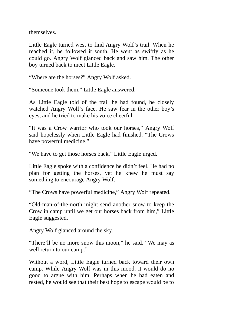themselves.

Little Eagle turned west to find Angry Wolf's trail. When he reached it, he followed it south. He went as swiftly as he could go. Angry Wolf glanced back and saw him. The other boy turned back to meet Little Eagle.

"Where are the horses?" Angry Wolf asked.

"Someone took them," Little Eagle answered.

As Little Eagle told of the trail he had found, he closely watched Angry Wolf's face. He saw fear in the other boy's eyes, and he tried to make his voice cheerful.

"It was a Crow warrior who took our horses," Angry Wolf said hopelessly when Little Eagle had finished. "The Crows have powerful medicine."

"We have to get those horses back," Little Eagle urged.

Little Eagle spoke with a confidence he didn't feel. He had no plan for getting the horses, yet he knew he must say something to encourage Angry Wolf.

"The Crows have powerful medicine," Angry Wolf repeated.

"Old-man-of-the-north might send another snow to keep the Crow in camp until we get our horses back from him," Little Eagle suggested.

Angry Wolf glanced around the sky.

"There'll be no more snow this moon," he said. "We may as well return to our camp."

Without a word, Little Eagle turned back toward their own camp. While Angry Wolf was in this mood, it would do no good to argue with him. Perhaps when he had eaten and rested, he would see that their best hope to escape would be to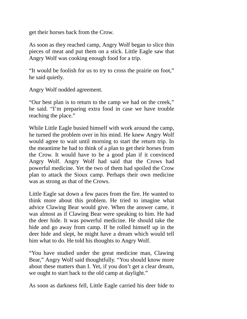get their horses back from the Crow.

As soon as they reached camp, Angry Wolf began to slice thin pieces of meat and put them on a stick. Little Eagle saw that Angry Wolf was cooking enough food for a trip.

"It would be foolish for us to try to cross the prairie on foot," he said quietly.

Angry Wolf nodded agreement.

"Our best plan is to return to the camp we had on the creek," he said. "I'm preparing extra food in case we have trouble reaching the place."

While Little Eagle busied himself with work around the camp, he turned the problem over in his mind. He knew Angry Wolf would agree to wait until morning to start the return trip. In the meantime he had to think of a plan to get their horses from the Crow. It would have to be a good plan if it convinced Angry Wolf. Angry Wolf had said that the Crows had powerful medicine. Yet the two of them had spoiled the Crow plan to attack the Sioux camp. Perhaps their own medicine was as strong as that of the Crows.

Little Eagle sat down a few paces from the fire. He wanted to think more about this problem. He tried to imagine what advice Clawing Bear would give. When the answer came, it was almost as if Clawing Bear were speaking to him. He had the deer hide. It was powerful medicine. He should take the hide and go away from camp. If he rolled himself up in the deer hide and slept, he might have a dream which would tell him what to do. He told his thoughts to Angry Wolf.

"You have studied under the great medicine man, Clawing Bear," Angry Wolf said thoughtfully. "You should know more about these matters than I. Yet, if you don't get a clear dream, we ought to start back to the old camp at daylight."

As soon as darkness fell, Little Eagle carried his deer hide to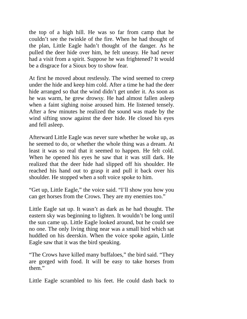the top of a high hill. He was so far from camp that he couldn't see the twinkle of the fire. When he had thought of the plan, Little Eagle hadn't thought of the danger. As he pulled the deer hide over him, he felt uneasy. He had never had a visit from a spirit. Suppose he was frightened? It would be a disgrace for a Sioux boy to show fear.

At first he moved about restlessly. The wind seemed to creep under the hide and keep him cold. After a time he had the deer hide arranged so that the wind didn't get under it. As soon as he was warm, he grew drowsy. He had almost fallen asleep when a faint sighing noise aroused him. He listened tensely. After a few minutes he realized the sound was made by the wind sifting snow against the deer hide. He closed his eyes and fell asleep.

Afterward Little Eagle was never sure whether he woke up, as he seemed to do, or whether the whole thing was a dream. At least it was so real that it seemed to happen. He felt cold. When he opened his eyes he saw that it was still dark. He realized that the deer hide had slipped off his shoulder. He reached his hand out to grasp it and pull it back over his shoulder. He stopped when a soft voice spoke to him.

"Get up, Little Eagle," the voice said. "I'll show you how you can get horses from the Crows. They are my enemies too."

Little Eagle sat up. It wasn't as dark as he had thought. The eastern sky was beginning to lighten. It wouldn't be long until the sun came up. Little Eagle looked around, but he could see no one. The only living thing near was a small bird which sat huddled on his deerskin. When the voice spoke again, Little Eagle saw that it was the bird speaking.

"The Crows have killed many buffaloes," the bird said. "They are gorged with food. It will be easy to take horses from them."

Little Eagle scrambled to his feet. He could dash back to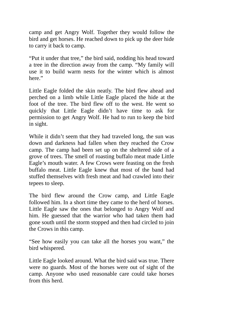camp and get Angry Wolf. Together they would follow the bird and get horses. He reached down to pick up the deer hide to carry it back to camp.

"Put it under that tree," the bird said, nodding his head toward a tree in the direction away from the camp. "My family will use it to build warm nests for the winter which is almost here."

Little Eagle folded the skin neatly. The bird flew ahead and perched on a limb while Little Eagle placed the hide at the foot of the tree. The bird flew off to the west. He went so quickly that Little Eagle didn't have time to ask for permission to get Angry Wolf. He had to run to keep the bird in sight.

While it didn't seem that they had traveled long, the sun was down and darkness had fallen when they reached the Crow camp. The camp had been set up on the sheltered side of a grove of trees. The smell of roasting buffalo meat made Little Eagle's mouth water. A few Crows were feasting on the fresh buffalo meat. Little Eagle knew that most of the band had stuffed themselves with fresh meat and had crawled into their tepees to sleep.

The bird flew around the Crow camp, and Little Eagle followed him. In a short time they came to the herd of horses. Little Eagle saw the ones that belonged to Angry Wolf and him. He guessed that the warrior who had taken them had gone south until the storm stopped and then had circled to join the Crows in this camp.

"See how easily you can take all the horses you want," the bird whispered.

Little Eagle looked around. What the bird said was true. There were no guards. Most of the horses were out of sight of the camp. Anyone who used reasonable care could take horses from this herd.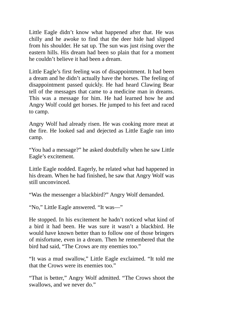Little Eagle didn't know what happened after that. He was chilly and he awoke to find that the deer hide had slipped from his shoulder. He sat up. The sun was just rising over the eastern hills. His dream had been so plain that for a moment he couldn't believe it had been a dream.

Little Eagle's first feeling was of disappointment. It had been a dream and he didn't actually have the horses. The feeling of disappointment passed quickly. He had heard Clawing Bear tell of the messages that came to a medicine man in dreams. This was a message for him. He had learned how he and Angry Wolf could get horses. He jumped to his feet and raced to camp.

Angry Wolf had already risen. He was cooking more meat at the fire. He looked sad and dejected as Little Eagle ran into camp.

"You had a message?" he asked doubtfully when he saw Little Eagle's excitement.

Little Eagle nodded. Eagerly, he related what had happened in his dream. When he had finished, he saw that Angry Wolf was still unconvinced.

"Was the messenger a blackbird?" Angry Wolf demanded.

"No," Little Eagle answered. "It was—"

He stopped. In his excitement he hadn't noticed what kind of a bird it had been. He was sure it wasn't a blackbird. He would have known better than to follow one of those bringers of misfortune, even in a dream. Then he remembered that the bird had said, "The Crows are my enemies too."

"It was a mud swallow," Little Eagle exclaimed. "It told me that the Crows were its enemies too."

"That is better," Angry Wolf admitted. "The Crows shoot the swallows, and we never do."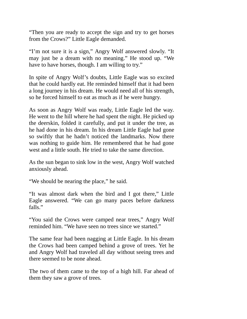"Then you are ready to accept the sign and try to get horses from the Crows?" Little Eagle demanded.

"I'm not sure it is a sign," Angry Wolf answered slowly. "It may just be a dream with no meaning." He stood up. "We have to have horses, though. I am willing to try."

In spite of Angry Wolf's doubts, Little Eagle was so excited that he could hardly eat. He reminded himself that it had been a long journey in his dream. He would need all of his strength, so he forced himself to eat as much as if he were hungry.

As soon as Angry Wolf was ready, Little Eagle led the way. He went to the hill where he had spent the night. He picked up the deerskin, folded it carefully, and put it under the tree, as he had done in his dream. In his dream Little Eagle had gone so swiftly that he hadn't noticed the landmarks. Now there was nothing to guide him. He remembered that he had gone west and a little south. He tried to take the same direction.

As the sun began to sink low in the west, Angry Wolf watched anxiously ahead.

"We should be nearing the place," he said.

"It was almost dark when the bird and I got there," Little Eagle answered. "We can go many paces before darkness falls."

"You said the Crows were camped near trees," Angry Wolf reminded him. "We have seen no trees since we started."

The same fear had been nagging at Little Eagle. In his dream the Crows had been camped behind a grove of trees. Yet he and Angry Wolf had traveled all day without seeing trees and there seemed to be none ahead.

The two of them came to the top of a high hill. Far ahead of them they saw a grove of trees.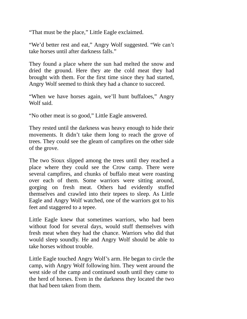"That must be the place," Little Eagle exclaimed.

"We'd better rest and eat," Angry Wolf suggested. "We can't take horses until after darkness falls."

They found a place where the sun had melted the snow and dried the ground. Here they ate the cold meat they had brought with them. For the first time since they had started, Angry Wolf seemed to think they had a chance to succeed.

"When we have horses again, we'll hunt buffaloes," Angry Wolf said.

"No other meat is so good," Little Eagle answered.

They rested until the darkness was heavy enough to hide their movements. It didn't take them long to reach the grove of trees. They could see the gleam of campfires on the other side of the grove.

The two Sioux slipped among the trees until they reached a place where they could see the Crow camp. There were several campfires, and chunks of buffalo meat were roasting over each of them. Some warriors were sitting around, gorging on fresh meat. Others had evidently stuffed themselves and crawled into their tepees to sleep. As Little Eagle and Angry Wolf watched, one of the warriors got to his feet and staggered to a tepee.

Little Eagle knew that sometimes warriors, who had been without food for several days, would stuff themselves with fresh meat when they had the chance. Warriors who did that would sleep soundly. He and Angry Wolf should be able to take horses without trouble.

Little Eagle touched Angry Wolf's arm. He began to circle the camp, with Angry Wolf following him. They went around the west side of the camp and continued south until they came to the herd of horses. Even in the darkness they located the two that had been taken from them.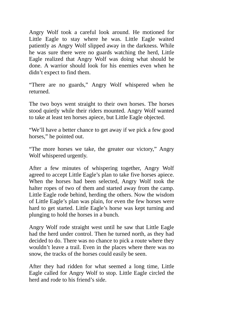Angry Wolf took a careful look around. He motioned for Little Eagle to stay where he was. Little Eagle waited patiently as Angry Wolf slipped away in the darkness. While he was sure there were no guards watching the herd, Little Eagle realized that Angry Wolf was doing what should be done. A warrior should look for his enemies even when he didn't expect to find them.

"There are no guards," Angry Wolf whispered when he returned.

The two boys went straight to their own horses. The horses stood quietly while their riders mounted. Angry Wolf wanted to take at least ten horses apiece, but Little Eagle objected.

"We'll have a better chance to get away if we pick a few good horses," he pointed out.

"The more horses we take, the greater our victory," Angry Wolf whispered urgently.

After a few minutes of whispering together, Angry Wolf agreed to accept Little Eagle's plan to take five horses apiece. When the horses had been selected, Angry Wolf took the halter ropes of two of them and started away from the camp. Little Eagle rode behind, herding the others. Now the wisdom of Little Eagle's plan was plain, for even the few horses were hard to get started. Little Eagle's horse was kept turning and plunging to hold the horses in a bunch.

Angry Wolf rode straight west until he saw that Little Eagle had the herd under control. Then he turned north, as they had decided to do. There was no chance to pick a route where they wouldn't leave a trail. Even in the places where there was no snow, the tracks of the horses could easily be seen.

After they had ridden for what seemed a long time, Little Eagle called for Angry Wolf to stop. Little Eagle circled the herd and rode to his friend's side.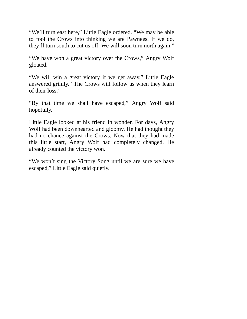"We'll turn east here," Little Eagle ordered. "We may be able to fool the Crows into thinking we are Pawnees. If we do, they'll turn south to cut us off. We will soon turn north again."

"We have won a great victory over the Crows," Angry Wolf gloated.

"We will win a great victory if we get away," Little Eagle answered grimly. "The Crows will follow us when they learn of their loss."

"By that time we shall have escaped," Angry Wolf said hopefully.

Little Eagle looked at his friend in wonder. For days, Angry Wolf had been downhearted and gloomy. He had thought they had no chance against the Crows. Now that they had made this little start, Angry Wolf had completely changed. He already counted the victory won.

"We won't sing the Victory Song until we are sure we have escaped," Little Eagle said quietly.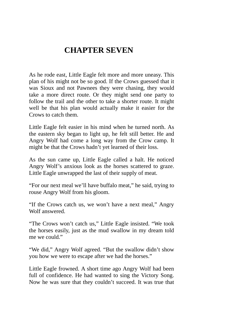## **CHAPTER SEVEN**

As he rode east, Little Eagle felt more and more uneasy. This plan of his might not be so good. If the Crows guessed that it was Sioux and not Pawnees they were chasing, they would take a more direct route. Or they might send one party to follow the trail and the other to take a shorter route. It might well be that his plan would actually make it easier for the Crows to catch them.

Little Eagle felt easier in his mind when he turned north. As the eastern sky began to light up, he felt still better. He and Angry Wolf had come a long way from the Crow camp. It might be that the Crows hadn't yet learned of their loss.

As the sun came up, Little Eagle called a halt. He noticed Angry Wolf's anxious look as the horses scattered to graze. Little Eagle unwrapped the last of their supply of meat.

"For our next meal we'll have buffalo meat," he said, trying to rouse Angry Wolf from his gloom.

"If the Crows catch us, we won't have a next meal," Angry Wolf answered.

"The Crows won't catch us," Little Eagle insisted. "We took the horses easily, just as the mud swallow in my dream told me we could."

"We did," Angry Wolf agreed. "But the swallow didn't show you how we were to escape after we had the horses."

Little Eagle frowned. A short time ago Angry Wolf had been full of confidence. He had wanted to sing the Victory Song. Now he was sure that they couldn't succeed. It was true that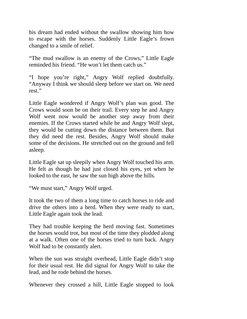his dream had ended without the swallow showing him how to escape with the horses. Suddenly Little Eagle's frown changed to a smile of relief.

"The mud swallow is an enemy of the Crows," Little Eagle reminded his friend. "He won't let them catch us."

"I hope you're right," Angry Wolf replied doubtfully. "Anyway I think we should sleep before we start on. We need rest."

Little Eagle wondered if Angry Wolf's plan was good. The Crows would soon be on their trail. Every step he and Angry Wolf went now would be another step away from their enemies. If the Crows started while he and Angry Wolf slept, they would be cutting down the distance between them. But they did need the rest. Besides, Angry Wolf should make some of the decisions. He stretched out on the ground and fell asleep.

Little Eagle sat up sleepily when Angry Wolf touched his arm. He felt as though he had just closed his eyes, yet when he looked to the east, he saw the sun high above the hills.

"We must start," Angry Wolf urged.

It took the two of them a long time to catch horses to ride and drive the others into a herd. When they were ready to start, Little Eagle again took the lead.

They had trouble keeping the herd moving fast. Sometimes the horses would trot, but most of the time they plodded along at a walk. Often one of the horses tried to turn back. Angry Wolf had to be constantly alert.

When the sun was straight overhead, Little Eagle didn't stop for their usual rest. He did signal for Angry Wolf to take the lead, and he rode behind the horses.

Whenever they crossed a hill, Little Eagle stopped to look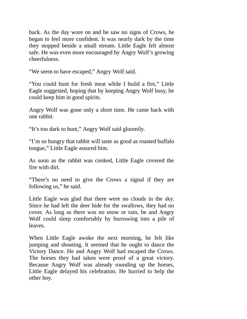back. As the day wore on and he saw no signs of Crows, he began to feel more confident. It was nearly dark by the time they stopped beside a small stream. Little Eagle felt almost safe. He was even more encouraged by Angry Wolf's growing cheerfulness.

"We seem to have escaped," Angry Wolf said.

"You could hunt for fresh meat while I build a fire," Little Eagle suggested, hoping that by keeping Angry Wolf busy, he could keep him in good spirits.

Angry Wolf was gone only a short time. He came back with one rabbit.

"It's too dark to hunt," Angry Wolf said gloomily.

"I'm so hungry that rabbit will taste as good as roasted buffalo tongue," Little Eagle assured him.

As soon as the rabbit was cooked, Little Eagle covered the fire with dirt.

"There's no need to give the Crows a signal if they are following us," he said.

Little Eagle was glad that there were no clouds in the sky. Since he had left the deer hide for the swallows, they had no cover. As long as there was no snow or rain, he and Angry Wolf could sleep comfortably by burrowing into a pile of leaves.

When Little Eagle awoke the next morning, he felt like jumping and shouting. It seemed that he ought to dance the Victory Dance. He and Angry Wolf had escaped the Crows. The horses they had taken were proof of a great victory. Because Angry Wolf was already rounding up the horses, Little Eagle delayed his celebration. He hurried to help the other boy.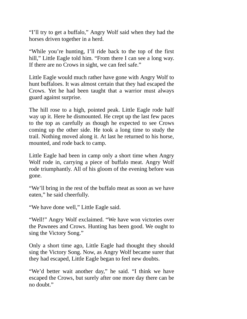"I'll try to get a buffalo," Angry Wolf said when they had the horses driven together in a herd.

"While you're hunting, I'll ride back to the top of the first hill," Little Eagle told him. "From there I can see a long way. If there are no Crows in sight, we can feel safe."

Little Eagle would much rather have gone with Angry Wolf to hunt buffaloes. It was almost certain that they had escaped the Crows. Yet he had been taught that a warrior must always guard against surprise.

The hill rose to a high, pointed peak. Little Eagle rode half way up it. Here he dismounted. He crept up the last few paces to the top as carefully as though he expected to see Crows coming up the other side. He took a long time to study the trail. Nothing moved along it. At last he returned to his horse, mounted, and rode back to camp.

Little Eagle had been in camp only a short time when Angry Wolf rode in, carrying a piece of buffalo meat. Angry Wolf rode triumphantly. All of his gloom of the evening before was gone.

"We'll bring in the rest of the buffalo meat as soon as we have eaten," he said cheerfully.

"We have done well," Little Eagle said.

"Well!" Angry Wolf exclaimed. "We have won victories over the Pawnees and Crows. Hunting has been good. We ought to sing the Victory Song."

Only a short time ago, Little Eagle had thought they should sing the Victory Song. Now, as Angry Wolf became surer that they had escaped, Little Eagle began to feel new doubts.

"We'd better wait another day," he said. "I think we have escaped the Crows, but surely after one more day there can be no doubt."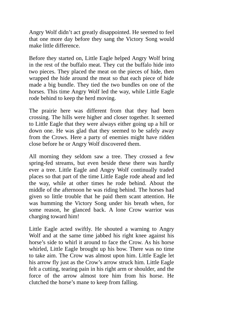Angry Wolf didn't act greatly disappointed. He seemed to feel that one more day before they sang the Victory Song would make little difference.

Before they started on, Little Eagle helped Angry Wolf bring in the rest of the buffalo meat. They cut the buffalo hide into two pieces. They placed the meat on the pieces of hide, then wrapped the hide around the meat so that each piece of hide made a big bundle. They tied the two bundles on one of the horses. This time Angry Wolf led the way, while Little Eagle rode behind to keep the herd moving.

The prairie here was different from that they had been crossing. The hills were higher and closer together. It seemed to Little Eagle that they were always either going up a hill or down one. He was glad that they seemed to be safely away from the Crows. Here a party of enemies might have ridden close before he or Angry Wolf discovered them.

All morning they seldom saw a tree. They crossed a few spring-fed streams, but even beside these there was hardly ever a tree. Little Eagle and Angry Wolf continually traded places so that part of the time Little Eagle rode ahead and led the way, while at other times he rode behind. About the middle of the afternoon he was riding behind. The horses had given so little trouble that he paid them scant attention. He was humming the Victory Song under his breath when, for some reason, he glanced back. A lone Crow warrior was charging toward him!

Little Eagle acted swiftly. He shouted a warning to Angry Wolf and at the same time jabbed his right knee against his horse's side to whirl it around to face the Crow. As his horse whirled, Little Eagle brought up his bow. There was no time to take aim. The Crow was almost upon him. Little Eagle let his arrow fly just as the Crow's arrow struck him. Little Eagle felt a cutting, tearing pain in his right arm or shoulder, and the force of the arrow almost tore him from his horse. He clutched the horse's mane to keep from falling.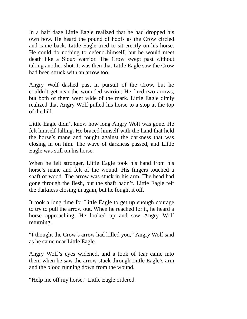In a half daze Little Eagle realized that he had dropped his own bow. He heard the pound of hoofs as the Crow circled and came back. Little Eagle tried to sit erectly on his horse. He could do nothing to defend himself, but he would meet death like a Sioux warrior. The Crow swept past without taking another shot. It was then that Little Eagle saw the Crow had been struck with an arrow too.

Angry Wolf dashed past in pursuit of the Crow, but he couldn't get near the wounded warrior. He fired two arrows, but both of them went wide of the mark. Little Eagle dimly realized that Angry Wolf pulled his horse to a stop at the top of the hill.

Little Eagle didn't know how long Angry Wolf was gone. He felt himself falling. He braced himself with the hand that held the horse's mane and fought against the darkness that was closing in on him. The wave of darkness passed, and Little Eagle was still on his horse.

When he felt stronger, Little Eagle took his hand from his horse's mane and felt of the wound. His fingers touched a shaft of wood. The arrow was stuck in his arm. The head had gone through the flesh, but the shaft hadn't. Little Eagle felt the darkness closing in again, but he fought it off.

It took a long time for Little Eagle to get up enough courage to try to pull the arrow out. When he reached for it, he heard a horse approaching. He looked up and saw Angry Wolf returning.

"I thought the Crow's arrow had killed you," Angry Wolf said as he came near Little Eagle.

Angry Wolf's eyes widened, and a look of fear came into them when he saw the arrow stuck through Little Eagle's arm and the blood running down from the wound.

"Help me off my horse," Little Eagle ordered.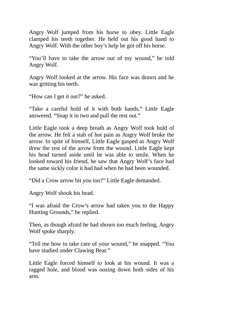Angry Wolf jumped from his horse to obey. Little Eagle clamped his teeth together. He held out his good hand to Angry Wolf. With the other boy's help he got off his horse.

"You'll have to take the arrow out of my wound," he told Angry Wolf.

Angry Wolf looked at the arrow. His face was drawn and he was gritting his teeth.

"How can I get it out?" he asked.

"Take a careful hold of it with both hands," Little Eagle answered. "Snap it in two and pull the rest out."

Little Eagle took a deep breath as Angry Wolf took hold of the arrow. He felt a stab of hot pain as Angry Wolf broke the arrow. In spite of himself, Little Eagle gasped as Angry Wolf drew the rest of the arrow from the wound. Little Eagle kept his head turned aside until he was able to smile. When he looked toward his friend, he saw that Angry Wolf's face had the same sickly color it had had when he had been wounded.

"Did a Crow arrow hit you too?" Little Eagle demanded.

Angry Wolf shook his head.

"I was afraid the Crow's arrow had taken you to the Happy Hunting Grounds," he replied.

Then, as though afraid he had shown too much feeling, Angry Wolf spoke sharply.

"Tell me how to take care of your wound," he snapped. "You have studied under Clawing Bear."

Little Eagle forced himself to look at his wound. It was a ragged hole, and blood was oozing down both sides of his arm.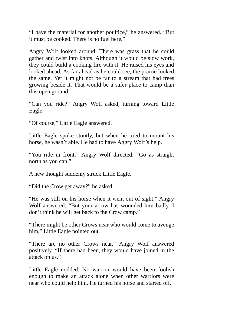"I have the material for another poultice," he answered. "But it must be cooked. There is no fuel here."

Angry Wolf looked around. There was grass that he could gather and twist into knots. Although it would be slow work, they could build a cooking fire with it. He raised his eyes and looked ahead. As far ahead as he could see, the prairie looked the same. Yet it might not be far to a stream that had trees growing beside it. That would be a safer place to camp than this open ground.

"Can you ride?" Angry Wolf asked, turning toward Little Eagle.

"Of course," Little Eagle answered.

Little Eagle spoke stoutly, but when he tried to mount his horse, he wasn't able. He had to have Angry Wolf's help.

"You ride in front," Angry Wolf directed. "Go as straight north as you can."

A new thought suddenly struck Little Eagle.

"Did the Crow get away?" he asked.

"He was still on his horse when it went out of sight," Angry Wolf answered. "But your arrow has wounded him badly. I don't think he will get back to the Crow camp."

"There might be other Crows near who would come to avenge him," Little Eagle pointed out.

"There are no other Crows near," Angry Wolf answered positively. "If there had been, they would have joined in the attack on us."

Little Eagle nodded. No warrior would have been foolish enough to make an attack alone when other warriors were near who could help him. He turned his horse and started off.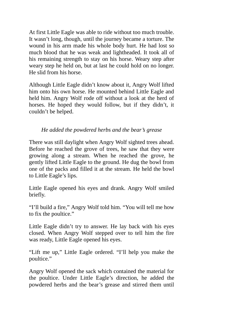At first Little Eagle was able to ride without too much trouble. It wasn't long, though, until the journey became a torture. The wound in his arm made his whole body hurt. He had lost so much blood that he was weak and lightheaded. It took all of his remaining strength to stay on his horse. Weary step after weary step he held on, but at last he could hold on no longer. He slid from his horse.

Although Little Eagle didn't know about it, Angry Wolf lifted him onto his own horse. He mounted behind Little Eagle and held him. Angry Wolf rode off without a look at the herd of horses. He hoped they would follow, but if they didn't, it couldn't be helped.

## *He added the powdered herbs and the bear's grease*

There was still daylight when Angry Wolf sighted trees ahead. Before he reached the grove of trees, he saw that they were growing along a stream. When he reached the grove, he gently lifted Little Eagle to the ground. He dug the bowl from one of the packs and filled it at the stream. He held the bowl to Little Eagle's lips.

Little Eagle opened his eyes and drank. Angry Wolf smiled briefly.

"I'll build a fire," Angry Wolf told him. "You will tell me how to fix the poultice."

Little Eagle didn't try to answer. He lay back with his eyes closed. When Angry Wolf stepped over to tell him the fire was ready, Little Eagle opened his eyes.

"Lift me up," Little Eagle ordered. "I'll help you make the poultice."

Angry Wolf opened the sack which contained the material for the poultice. Under Little Eagle's direction, he added the powdered herbs and the bear's grease and stirred them until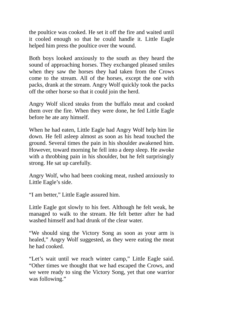the poultice was cooked. He set it off the fire and waited until it cooled enough so that he could handle it. Little Eagle helped him press the poultice over the wound.

Both boys looked anxiously to the south as they heard the sound of approaching horses. They exchanged pleased smiles when they saw the horses they had taken from the Crows come to the stream. All of the horses, except the one with packs, drank at the stream. Angry Wolf quickly took the packs off the other horse so that it could join the herd.

Angry Wolf sliced steaks from the buffalo meat and cooked them over the fire. When they were done, he fed Little Eagle before he ate any himself.

When he had eaten, Little Eagle had Angry Wolf help him lie down. He fell asleep almost as soon as his head touched the ground. Several times the pain in his shoulder awakened him. However, toward morning he fell into a deep sleep. He awoke with a throbbing pain in his shoulder, but he felt surprisingly strong. He sat up carefully.

Angry Wolf, who had been cooking meat, rushed anxiously to Little Eagle's side.

"I am better," Little Eagle assured him.

Little Eagle got slowly to his feet. Although he felt weak, he managed to walk to the stream. He felt better after he had washed himself and had drunk of the clear water.

"We should sing the Victory Song as soon as your arm is healed," Angry Wolf suggested, as they were eating the meat he had cooked.

"Let's wait until we reach winter camp," Little Eagle said. "Other times we thought that we had escaped the Crows, and we were ready to sing the Victory Song, yet that one warrior was following."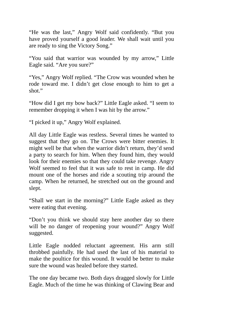"He was the last," Angry Wolf said confidently. "But you have proved yourself a good leader. We shall wait until you are ready to sing the Victory Song."

"You said that warrior was wounded by my arrow," Little Eagle said. "Are you sure?"

"Yes," Angry Wolf replied. "The Crow was wounded when he rode toward me. I didn't get close enough to him to get a shot."

"How did I get my bow back?" Little Eagle asked. "I seem to remember dropping it when I was hit by the arrow."

"I picked it up," Angry Wolf explained.

All day Little Eagle was restless. Several times he wanted to suggest that they go on. The Crows were bitter enemies. It might well be that when the warrior didn't return, they'd send a party to search for him. When they found him, they would look for their enemies so that they could take revenge. Angry Wolf seemed to feel that it was safe to rest in camp. He did mount one of the horses and ride a scouting trip around the camp. When he returned, he stretched out on the ground and slept.

"Shall we start in the morning?" Little Eagle asked as they were eating that evening.

"Don't you think we should stay here another day so there will be no danger of reopening your wound?" Angry Wolf suggested.

Little Eagle nodded reluctant agreement. His arm still throbbed painfully. He had used the last of his material to make the poultice for this wound. It would be better to make sure the wound was healed before they started.

The one day became two. Both days dragged slowly for Little Eagle. Much of the time he was thinking of Clawing Bear and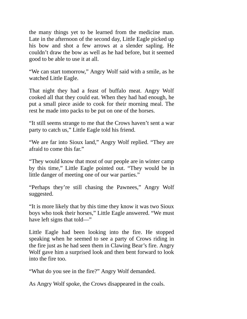the many things yet to be learned from the medicine man. Late in the afternoon of the second day, Little Eagle picked up his bow and shot a few arrows at a slender sapling. He couldn't draw the bow as well as he had before, but it seemed good to be able to use it at all.

"We can start tomorrow," Angry Wolf said with a smile, as he watched Little Eagle.

That night they had a feast of buffalo meat. Angry Wolf cooked all that they could eat. When they had had enough, he put a small piece aside to cook for their morning meal. The rest he made into packs to be put on one of the horses.

"It still seems strange to me that the Crows haven't sent a war party to catch us," Little Eagle told his friend.

"We are far into Sioux land," Angry Wolf replied. "They are afraid to come this far."

"They would know that most of our people are in winter camp by this time," Little Eagle pointed out. "They would be in little danger of meeting one of our war parties."

"Perhaps they're still chasing the Pawnees," Angry Wolf suggested.

"It is more likely that by this time they know it was two Sioux boys who took their horses," Little Eagle answered. "We must have left signs that told—"

Little Eagle had been looking into the fire. He stopped speaking when he seemed to see a party of Crows riding in the fire just as he had seen them in Clawing Bear's fire. Angry Wolf gave him a surprised look and then bent forward to look into the fire too.

"What do you see in the fire?" Angry Wolf demanded.

As Angry Wolf spoke, the Crows disappeared in the coals.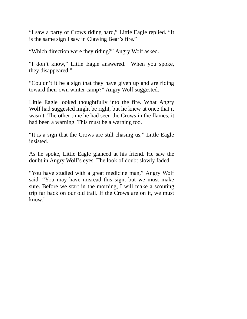"I saw a party of Crows riding hard," Little Eagle replied. "It is the same sign I saw in Clawing Bear's fire."

"Which direction were they riding?" Angry Wolf asked.

"I don't know," Little Eagle answered. "When you spoke, they disappeared."

"Couldn't it be a sign that they have given up and are riding toward their own winter camp?" Angry Wolf suggested.

Little Eagle looked thoughtfully into the fire. What Angry Wolf had suggested might be right, but he knew at once that it wasn't. The other time he had seen the Crows in the flames, it had been a warning. This must be a warning too.

"It is a sign that the Crows are still chasing us," Little Eagle insisted.

As he spoke, Little Eagle glanced at his friend. He saw the doubt in Angry Wolf's eyes. The look of doubt slowly faded.

"You have studied with a great medicine man," Angry Wolf said. "You may have misread this sign, but we must make sure. Before we start in the morning, I will make a scouting trip far back on our old trail. If the Crows are on it, we must know."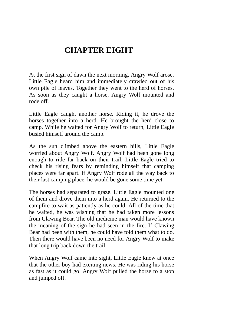## **CHAPTER EIGHT**

At the first sign of dawn the next morning, Angry Wolf arose. Little Eagle heard him and immediately crawled out of his own pile of leaves. Together they went to the herd of horses. As soon as they caught a horse, Angry Wolf mounted and rode off.

Little Eagle caught another horse. Riding it, he drove the horses together into a herd. He brought the herd close to camp. While he waited for Angry Wolf to return, Little Eagle busied himself around the camp.

As the sun climbed above the eastern hills, Little Eagle worried about Angry Wolf. Angry Wolf had been gone long enough to ride far back on their trail. Little Eagle tried to check his rising fears by reminding himself that camping places were far apart. If Angry Wolf rode all the way back to their last camping place, he would be gone some time yet.

The horses had separated to graze. Little Eagle mounted one of them and drove them into a herd again. He returned to the campfire to wait as patiently as he could. All of the time that he waited, he was wishing that he had taken more lessons from Clawing Bear. The old medicine man would have known the meaning of the sign he had seen in the fire. If Clawing Bear had been with them, he could have told them what to do. Then there would have been no need for Angry Wolf to make that long trip back down the trail.

When Angry Wolf came into sight, Little Eagle knew at once that the other boy had exciting news. He was riding his horse as fast as it could go. Angry Wolf pulled the horse to a stop and jumped off.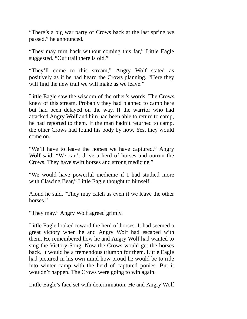"There's a big war party of Crows back at the last spring we passed," he announced.

"They may turn back without coming this far," Little Eagle suggested. "Our trail there is old."

"They'll come to this stream," Angry Wolf stated as positively as if he had heard the Crows planning. "Here they will find the new trail we will make as we leave."

Little Eagle saw the wisdom of the other's words. The Crows knew of this stream. Probably they had planned to camp here but had been delayed on the way. If the warrior who had attacked Angry Wolf and him had been able to return to camp, he had reported to them. If the man hadn't returned to camp, the other Crows had found his body by now. Yes, they would come on.

"We'll have to leave the horses we have captured," Angry Wolf said. "We can't drive a herd of horses and outrun the Crows. They have swift horses and strong medicine."

"We would have powerful medicine if I had studied more with Clawing Bear," Little Eagle thought to himself.

Aloud he said, "They may catch us even if we leave the other horses."

"They may," Angry Wolf agreed grimly.

Little Eagle looked toward the herd of horses. It had seemed a great victory when he and Angry Wolf had escaped with them. He remembered how he and Angry Wolf had wanted to sing the Victory Song. Now the Crows would get the horses back. It would be a tremendous triumph for them. Little Eagle had pictured in his own mind how proud he would be to ride into winter camp with the herd of captured ponies. But it wouldn't happen. The Crows were going to win again.

Little Eagle's face set with determination. He and Angry Wolf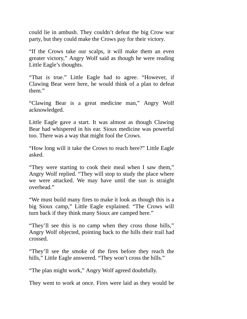could lie in ambush. They couldn't defeat the big Crow war party, but they could make the Crows pay for their victory.

"If the Crows take our scalps, it will make them an even greater victory," Angry Wolf said as though he were reading Little Eagle's thoughts.

"That is true." Little Eagle had to agree. "However, if Clawing Bear were here, he would think of a plan to defeat them."

"Clawing Bear is a great medicine man," Angry Wolf acknowledged.

Little Eagle gave a start. It was almost as though Clawing Bear had whispered in his ear. Sioux medicine was powerful too. There was a way that might fool the Crows.

"How long will it take the Crows to reach here?" Little Eagle asked.

"They were starting to cook their meal when I saw them," Angry Wolf replied. "They will stop to study the place where we were attacked. We may have until the sun is straight overhead."

"We must build many fires to make it look as though this is a big Sioux camp," Little Eagle explained. "The Crows will turn back if they think many Sioux are camped here."

"They'll see this is no camp when they cross those hills," Angry Wolf objected, pointing back to the hills their trail had crossed.

"They'll see the smoke of the fires before they reach the hills," Little Eagle answered. "They won't cross the hills."

"The plan might work," Angry Wolf agreed doubtfully.

They went to work at once. Fires were laid as they would be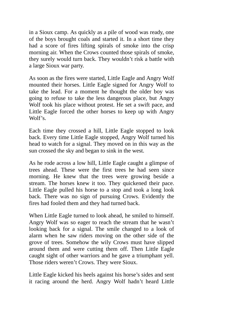in a Sioux camp. As quickly as a pile of wood was ready, one of the boys brought coals and started it. In a short time they had a score of fires lifting spirals of smoke into the crisp morning air. When the Crows counted those spirals of smoke, they surely would turn back. They wouldn't risk a battle with a large Sioux war party.

As soon as the fires were started, Little Eagle and Angry Wolf mounted their horses. Little Eagle signed for Angry Wolf to take the lead. For a moment he thought the older boy was going to refuse to take the less dangerous place, but Angry Wolf took his place without protest. He set a swift pace, and Little Eagle forced the other horses to keep up with Angry Wolf's.

Each time they crossed a hill, Little Eagle stopped to look back. Every time Little Eagle stopped, Angry Wolf turned his head to watch for a signal. They moved on in this way as the sun crossed the sky and began to sink in the west.

As he rode across a low hill, Little Eagle caught a glimpse of trees ahead. These were the first trees he had seen since morning. He knew that the trees were growing beside a stream. The horses knew it too. They quickened their pace. Little Eagle pulled his horse to a stop and took a long look back. There was no sign of pursuing Crows. Evidently the fires had fooled them and they had turned back.

When Little Eagle turned to look ahead, he smiled to himself. Angry Wolf was so eager to reach the stream that he wasn't looking back for a signal. The smile changed to a look of alarm when he saw riders moving on the other side of the grove of trees. Somehow the wily Crows must have slipped around them and were cutting them off. Then Little Eagle caught sight of other warriors and he gave a triumphant yell. Those riders weren't Crows. They were Sioux.

Little Eagle kicked his heels against his horse's sides and sent it racing around the herd. Angry Wolf hadn't heard Little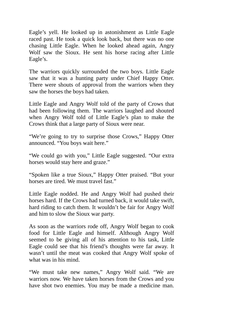Eagle's yell. He looked up in astonishment as Little Eagle raced past. He took a quick look back, but there was no one chasing Little Eagle. When he looked ahead again, Angry Wolf saw the Sioux. He sent his horse racing after Little Eagle's.

The warriors quickly surrounded the two boys. Little Eagle saw that it was a hunting party under Chief Happy Otter. There were shouts of approval from the warriors when they saw the horses the boys had taken.

Little Eagle and Angry Wolf told of the party of Crows that had been following them. The warriors laughed and shouted when Angry Wolf told of Little Eagle's plan to make the Crows think that a large party of Sioux were near.

"We're going to try to surprise those Crows," Happy Otter announced. "You boys wait here."

"We could go with you," Little Eagle suggested. "Our extra horses would stay here and graze."

"Spoken like a true Sioux," Happy Otter praised. "But your horses are tired. We must travel fast."

Little Eagle nodded. He and Angry Wolf had pushed their horses hard. If the Crows had turned back, it would take swift, hard riding to catch them. It wouldn't be fair for Angry Wolf and him to slow the Sioux war party.

As soon as the warriors rode off, Angry Wolf began to cook food for Little Eagle and himself. Although Angry Wolf seemed to be giving all of his attention to his task, Little Eagle could see that his friend's thoughts were far away. It wasn't until the meat was cooked that Angry Wolf spoke of what was in his mind.

"We must take new names," Angry Wolf said. "We are warriors now. We have taken horses from the Crows and you have shot two enemies. You may be made a medicine man.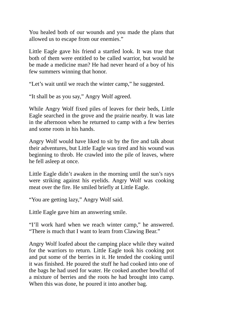You healed both of our wounds and you made the plans that allowed us to escape from our enemies."

Little Eagle gave his friend a startled look. It was true that both of them were entitled to be called warrior, but would he be made a medicine man? He had never heard of a boy of his few summers winning that honor.

"Let's wait until we reach the winter camp," he suggested.

"It shall be as you say," Angry Wolf agreed.

While Angry Wolf fixed piles of leaves for their beds, Little Eagle searched in the grove and the prairie nearby. It was late in the afternoon when he returned to camp with a few berries and some roots in his hands.

Angry Wolf would have liked to sit by the fire and talk about their adventures, but Little Eagle was tired and his wound was beginning to throb. He crawled into the pile of leaves, where he fell asleep at once.

Little Eagle didn't awaken in the morning until the sun's rays were striking against his eyelids. Angry Wolf was cooking meat over the fire. He smiled briefly at Little Eagle.

"You are getting lazy," Angry Wolf said.

Little Eagle gave him an answering smile.

"I'll work hard when we reach winter camp," he answered. "There is much that I want to learn from Clawing Bear."

Angry Wolf loafed about the camping place while they waited for the warriors to return. Little Eagle took his cooking pot and put some of the berries in it. He tended the cooking until it was finished. He poured the stuff he had cooked into one of the bags he had used for water. He cooked another bowlful of a mixture of berries and the roots he had brought into camp. When this was done, he poured it into another bag.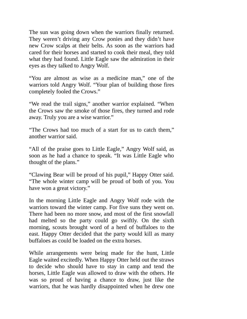The sun was going down when the warriors finally returned. They weren't driving any Crow ponies and they didn't have new Crow scalps at their belts. As soon as the warriors had cared for their horses and started to cook their meal, they told what they had found. Little Eagle saw the admiration in their eyes as they talked to Angry Wolf.

"You are almost as wise as a medicine man," one of the warriors told Angry Wolf. "Your plan of building those fires completely fooled the Crows."

"We read the trail signs," another warrior explained. "When the Crows saw the smoke of those fires, they turned and rode away. Truly you are a wise warrior."

"The Crows had too much of a start for us to catch them," another warrior said.

"All of the praise goes to Little Eagle," Angry Wolf said, as soon as he had a chance to speak. "It was Little Eagle who thought of the plans."

"Clawing Bear will be proud of his pupil," Happy Otter said. "The whole winter camp will be proud of both of you. You have won a great victory."

In the morning Little Eagle and Angry Wolf rode with the warriors toward the winter camp. For five suns they went on. There had been no more snow, and most of the first snowfall had melted so the party could go swiftly. On the sixth morning, scouts brought word of a herd of buffaloes to the east. Happy Otter decided that the party would kill as many buffaloes as could be loaded on the extra horses.

While arrangements were being made for the hunt, Little Eagle waited excitedly. When Happy Otter held out the straws to decide who should have to stay in camp and tend the horses, Little Eagle was allowed to draw with the others. He was so proud of having a chance to draw, just like the warriors, that he was hardly disappointed when he drew one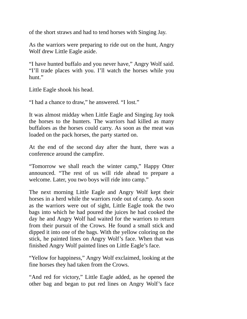of the short straws and had to tend horses with Singing Jay.

As the warriors were preparing to ride out on the hunt, Angry Wolf drew Little Eagle aside.

"I have hunted buffalo and you never have," Angry Wolf said. "I'll trade places with you. I'll watch the horses while you hunt."

Little Eagle shook his head.

"I had a chance to draw," he answered. "I lost."

It was almost midday when Little Eagle and Singing Jay took the horses to the hunters. The warriors had killed as many buffaloes as the horses could carry. As soon as the meat was loaded on the pack horses, the party started on.

At the end of the second day after the hunt, there was a conference around the campfire.

"Tomorrow we shall reach the winter camp," Happy Otter announced. "The rest of us will ride ahead to prepare a welcome. Later, you two boys will ride into camp."

The next morning Little Eagle and Angry Wolf kept their horses in a herd while the warriors rode out of camp. As soon as the warriors were out of sight, Little Eagle took the two bags into which he had poured the juices he had cooked the day he and Angry Wolf had waited for the warriors to return from their pursuit of the Crows. He found a small stick and dipped it into one of the bags. With the yellow coloring on the stick, he painted lines on Angry Wolf's face. When that was finished Angry Wolf painted lines on Little Eagle's face.

"Yellow for happiness," Angry Wolf exclaimed, looking at the fine horses they had taken from the Crows.

"And red for victory," Little Eagle added, as he opened the other bag and began to put red lines on Angry Wolf's face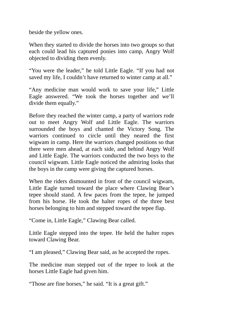beside the yellow ones.

When they started to divide the horses into two groups so that each could lead his captured ponies into camp, Angry Wolf objected to dividing them evenly.

"You were the leader," he told Little Eagle. "If you had not saved my life, I couldn't have returned to winter camp at all."

"Any medicine man would work to save your life," Little Eagle answered. "We took the horses together and we'll divide them equally."

Before they reached the winter camp, a party of warriors rode out to meet Angry Wolf and Little Eagle. The warriors surrounded the boys and chanted the Victory Song. The warriors continued to circle until they neared the first wigwam in camp. Here the warriors changed positions so that there were men ahead, at each side, and behind Angry Wolf and Little Eagle. The warriors conducted the two boys to the council wigwam. Little Eagle noticed the admiring looks that the boys in the camp were giving the captured horses.

When the riders dismounted in front of the council wigwam, Little Eagle turned toward the place where Clawing Bear's tepee should stand. A few paces from the tepee, he jumped from his horse. He took the halter ropes of the three best horses belonging to him and stepped toward the tepee flap.

"Come in, Little Eagle," Clawing Bear called.

Little Eagle stepped into the tepee. He held the halter ropes toward Clawing Bear.

"I am pleased," Clawing Bear said, as he accepted the ropes.

The medicine man stepped out of the tepee to look at the horses Little Eagle had given him.

"Those are fine horses," he said. "It is a great gift."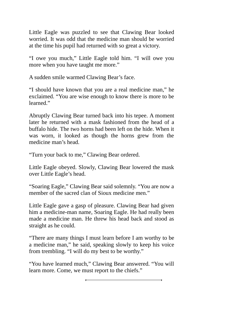Little Eagle was puzzled to see that Clawing Bear looked worried. It was odd that the medicine man should be worried at the time his pupil had returned with so great a victory.

"I owe you much," Little Eagle told him. "I will owe you more when you have taught me more."

A sudden smile warmed Clawing Bear's face.

"I should have known that you are a real medicine man," he exclaimed. "You are wise enough to know there is more to be learned."

Abruptly Clawing Bear turned back into his tepee. A moment later he returned with a mask fashioned from the head of a buffalo hide. The two horns had been left on the hide. When it was worn, it looked as though the horns grew from the medicine man's head.

"Turn your back to me," Clawing Bear ordered.

Little Eagle obeyed. Slowly, Clawing Bear lowered the mask over Little Eagle's head.

"Soaring Eagle," Clawing Bear said solemnly. "You are now a member of the sacred clan of Sioux medicine men."

Little Eagle gave a gasp of pleasure. Clawing Bear had given him a medicine-man name, Soaring Eagle. He had really been made a medicine man. He threw his head back and stood as straight as he could.

"There are many things I must learn before I am worthy to be a medicine man," he said, speaking slowly to keep his voice from trembling. "I will do my best to be worthy."

"You have learned much," Clawing Bear answered. "You will learn more. Come, we must report to the chiefs."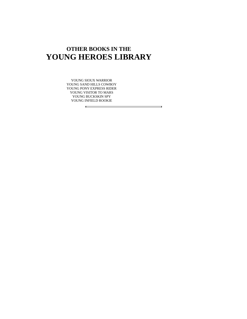## **OTHER BOOKS IN THE YOUNG HEROES LIBRARY**

YOUNG SIOUX WARRIOR YOUNG SAND HILLS COWBOY YOUNG PONY EXPRESS RIDER YOUNG VISITOR TO MARS YOUNG BUCKSKIN SPY YOUNG INFIELD ROOKIE

ⅎ

 $\equiv$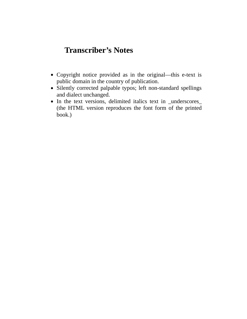## **Transcriber's Notes**

- Copyright notice provided as in the original—this e-text is public domain in the country of publication.
- Silently corrected palpable typos; left non-standard spellings and dialect unchanged.
- In the text versions, delimited italics text in \_underscores\_ (the HTML version reproduces the font form of the printed book.)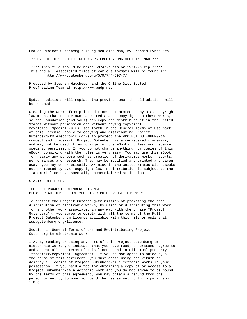End of Project Gutenberg's Young Medicine Man, by Francis Lynde Kroll

\*\*\* END OF THIS PROJECT GUTENBERG EBOOK YOUNG MEDICINE MAN \*\*\*

\*\*\*\*\* This file should be named 59747-h.htm or 59747-h.zip \*\*\*\*\* This and all associated files of various formats will be found in: http://www.gutenberg.org/5/9/7/4/59747/

Produced by Stephen Hutcheson and the Online Distributed Proofreading Team at http://www.pgdp.net

Updated editions will replace the previous one--the old editions will be renamed.

Creating the works from print editions not protected by U.S. copyright law means that no one owns a United States copyright in these works, so the Foundation (and you!) can copy and distribute it in the United States without permission and without paying copyright royalties. Special rules, set forth in the General Terms of Use part of this license, apply to copying and distributing Project Gutenberg-tm electronic works to protect the PROJECT GUTENBERG-tm concept and trademark. Project Gutenberg is a registered trademark, and may not be used if you charge for the eBooks, unless you receive specific permission. If you do not charge anything for copies of this eBook, complying with the rules is very easy. You may use this eBook for nearly any purpose such as creation of derivative works, reports, performances and research. They may be modified and printed and given away--you may do practically ANYTHING in the United States with eBooks not protected by U.S. copyright law. Redistribution is subject to the trademark license, especially commercial redistribution.

START: FULL LICENSE

THE FULL PROJECT GUTENBERG LICENSE PLEASE READ THIS BEFORE YOU DISTRIBUTE OR USE THIS WORK

To protect the Project Gutenberg-tm mission of promoting the free distribution of electronic works, by using or distributing this work (or any other work associated in any way with the phrase "Project Gutenberg"), you agree to comply with all the terms of the Full Project Gutenberg-tm License available with this file or online at www.gutenberg.org/license.

Section 1. General Terms of Use and Redistributing Project Gutenberg-tm electronic works

1.A. By reading or using any part of this Project Gutenberg-tm electronic work, you indicate that you have read, understand, agree to and accept all the terms of this license and intellectual property (trademark/copyright) agreement. If you do not agree to abide by all the terms of this agreement, you must cease using and return or destroy all copies of Project Gutenberg-tm electronic works in your possession. If you paid a fee for obtaining a copy of or access to a Project Gutenberg-tm electronic work and you do not agree to be bound by the terms of this agreement, you may obtain a refund from the person or entity to whom you paid the fee as set forth in paragraph 1.E.8.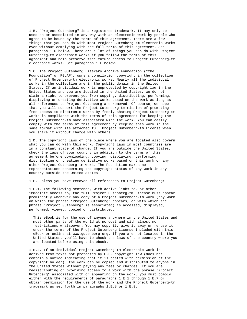1.B. "Project Gutenberg" is a registered trademark. It may only be used on or associated in any way with an electronic work by people who agree to be bound by the terms of this agreement. There are a few things that you can do with most Project Gutenberg-tm electronic works even without complying with the full terms of this agreement. See paragraph 1.C below. There are a lot of things you can do with Project Gutenberg-tm electronic works if you follow the terms of this agreement and help preserve free future access to Project Gutenberg-tm electronic works. See paragraph 1.E below.

1.C. The Project Gutenberg Literary Archive Foundation ("the Foundation" or PGLAF), owns a compilation copyright in the collection of Project Gutenberg-tm electronic works. Nearly all the individual works in the collection are in the public domain in the United States. If an individual work is unprotected by copyright law in the United States and you are located in the United States, we do not claim a right to prevent you from copying, distributing, performing, displaying or creating derivative works based on the work as long as all references to Project Gutenberg are removed. Of course, we hope that you will support the Project Gutenberg-tm mission of promoting free access to electronic works by freely sharing Project Gutenberg-tm works in compliance with the terms of this agreement for keeping the Project Gutenberg-tm name associated with the work. You can easily comply with the terms of this agreement by keeping this work in the same format with its attached full Project Gutenberg-tm License when you share it without charge with others.

1.D. The copyright laws of the place where you are located also govern what you can do with this work. Copyright laws in most countries are in a constant state of change. If you are outside the United States, check the laws of your country in addition to the terms of this agreement before downloading, copying, displaying, performing, distributing or creating derivative works based on this work or any other Project Gutenberg-tm work. The Foundation makes no representations concerning the copyright status of any work in any country outside the United States.

1.E. Unless you have removed all references to Project Gutenberg:

1.E.1. The following sentence, with active links to, or other immediate access to, the full Project Gutenberg-tm License must appear prominently whenever any copy of a Project Gutenberg-tm work (any work on which the phrase "Project Gutenberg" appears, or with which the phrase "Project Gutenberg" is associated) is accessed, displayed, performed, viewed, copied or distributed:

This eBook is for the use of anyone anywhere in the United States and most other parts of the world at no cost and with almost no restrictions whatsoever. You may copy it, give it away or re-use it under the terms of the Project Gutenberg License included with this eBook or online at www.gutenberg.org. If you are not located in the United States, you'll have to check the laws of the country where you are located before using this ebook.

1.E.2. If an individual Project Gutenberg-tm electronic work is derived from texts not protected by U.S. copyright law (does not contain a notice indicating that it is posted with permission of the copyright holder), the work can be copied and distributed to anyone in the United States without paying any fees or charges. If you are redistributing or providing access to a work with the phrase "Project Gutenberg" associated with or appearing on the work, you must comply either with the requirements of paragraphs 1.E.1 through 1.E.7 or obtain permission for the use of the work and the Project Gutenberg-tm trademark as set forth in paragraphs 1.E.8 or 1.E.9.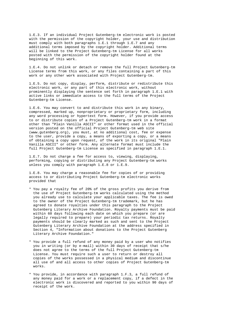1.E.3. If an individual Project Gutenberg-tm electronic work is posted with the permission of the copyright holder, your use and distribution must comply with both paragraphs 1.E.1 through 1.E.7 and any additional terms imposed by the copyright holder. Additional terms will be linked to the Project Gutenberg-tm License for all works posted with the permission of the copyright holder found at the beginning of this work.

1.E.4. Do not unlink or detach or remove the full Project Gutenberg-tm License terms from this work, or any files containing a part of this work or any other work associated with Project Gutenberg-tm.

1.E.5. Do not copy, display, perform, distribute or redistribute this electronic work, or any part of this electronic work, without prominently displaying the sentence set forth in paragraph 1.E.1 with active links or immediate access to the full terms of the Project Gutenberg-tm License.

1.E.6. You may convert to and distribute this work in any binary, compressed, marked up, nonproprietary or proprietary form, including any word processing or hypertext form. However, if you provide access to or distribute copies of a Project Gutenberg-tm work in a format other than "Plain Vanilla ASCII" or other format used in the official version posted on the official Project Gutenberg-tm web site (www.gutenberg.org), you must, at no additional cost, fee or expense to the user, provide a copy, a means of exporting a copy, or a means of obtaining a copy upon request, of the work in its original "Plain Vanilla ASCII" or other form. Any alternate format must include the full Project Gutenberg-tm License as specified in paragraph 1.E.1.

1.E.7. Do not charge a fee for access to, viewing, displaying, performing, copying or distributing any Project Gutenberg-tm works unless you comply with paragraph 1.E.8 or 1.E.9.

1.E.8. You may charge a reasonable fee for copies of or providing access to or distributing Project Gutenberg-tm electronic works provided that

- \* You pay a royalty fee of 20% of the gross profits you derive from the use of Project Gutenberg-tm works calculated using the method you already use to calculate your applicable taxes. The fee is owed to the owner of the Project Gutenberg-tm trademark, but he has agreed to donate royalties under this paragraph to the Project Gutenberg Literary Archive Foundation. Royalty payments must be paid within 60 days following each date on which you prepare (or are legally required to prepare) your periodic tax returns. Royalty payments should be clearly marked as such and sent to the Project Gutenberg Literary Archive Foundation at the address specified in Section 4, "Information about donations to the Project Gutenberg Literary Archive Foundation."
- \* You provide a full refund of any money paid by a user who notifies you in writing (or by e-mail) within 30 days of receipt that s/he does not agree to the terms of the full Project Gutenberg-tm License. You must require such a user to return or destroy all copies of the works possessed in a physical medium and discontinue all use of and all access to other copies of Project Gutenberg-tm works.
- \* You provide, in accordance with paragraph 1.F.3, a full refund of any money paid for a work or a replacement copy, if a defect in the electronic work is discovered and reported to you within 90 days of receipt of the work.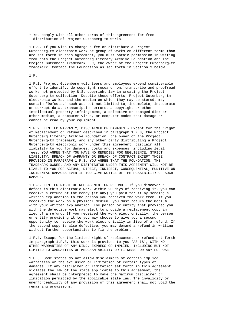\* You comply with all other terms of this agreement for free distribution of Project Gutenberg-tm works.

1.E.9. If you wish to charge a fee or distribute a Project Gutenberg-tm electronic work or group of works on different terms than are set forth in this agreement, you must obtain permission in writing from both the Project Gutenberg Literary Archive Foundation and The Project Gutenberg Trademark LLC, the owner of the Project Gutenberg-tm trademark. Contact the Foundation as set forth in Section 3 below.

## 1.F.

1.F.1. Project Gutenberg volunteers and employees expend considerable effort to identify, do copyright research on, transcribe and proofread works not protected by U.S. copyright law in creating the Project Gutenberg-tm collection. Despite these efforts, Project Gutenberg-tm electronic works, and the medium on which they may be stored, may contain "Defects," such as, but not limited to, incomplete, inaccurate or corrupt data, transcription errors, a copyright or other intellectual property infringement, a defective or damaged disk or other medium, a computer virus, or computer codes that damage or cannot be read by your equipment.

1.F.2. LIMITED WARRANTY, DISCLAIMER OF DAMAGES - Except for the "Right of Replacement or Refund" described in paragraph 1.F.3, the Project Gutenberg Literary Archive Foundation, the owner of the Project Gutenberg-tm trademark, and any other party distributing a Project Gutenberg-tm electronic work under this agreement, disclaim all liability to you for damages, costs and expenses, including legal fees. YOU AGREE THAT YOU HAVE NO REMEDIES FOR NEGLIGENCE, STRICT LIABILITY, BREACH OF WARRANTY OR BREACH OF CONTRACT EXCEPT THOSE PROVIDED IN PARAGRAPH 1.F.3. YOU AGREE THAT THE FOUNDATION, THE TRADEMARK OWNER, AND ANY DISTRIBUTOR UNDER THIS AGREEMENT WILL NOT BE LIABLE TO YOU FOR ACTUAL, DIRECT, INDIRECT, CONSEQUENTIAL, PUNITIVE OR INCIDENTAL DAMAGES EVEN IF YOU GIVE NOTICE OF THE POSSIBILITY OF SUCH DAMAGE.

1.F.3. LIMITED RIGHT OF REPLACEMENT OR REFUND - If you discover a defect in this electronic work within 90 days of receiving it, you can receive a refund of the money (if any) you paid for it by sending a written explanation to the person you received the work from. If you received the work on a physical medium, you must return the medium with your written explanation. The person or entity that provided you with the defective work may elect to provide a replacement copy in lieu of a refund. If you received the work electronically, the person or entity providing it to you may choose to give you a second opportunity to receive the work electronically in lieu of a refund. If the second copy is also defective, you may demand a refund in writing without further opportunities to fix the problem.

1.F.4. Except for the limited right of replacement or refund set forth in paragraph 1.F.3, this work is provided to you 'AS-IS', WITH NO OTHER WARRANTIES OF ANY KIND, EXPRESS OR IMPLIED, INCLUDING BUT NOT LIMITED TO WARRANTIES OF MERCHANTABILITY OR FITNESS FOR ANY PURPOSE.

1.F.5. Some states do not allow disclaimers of certain implied warranties or the exclusion or limitation of certain types of damages. If any disclaimer or limitation set forth in this agreement violates the law of the state applicable to this agreement, the agreement shall be interpreted to make the maximum disclaimer or limitation permitted by the applicable state law. The invalidity or unenforceability of any provision of this agreement shall not void the remaining provisions.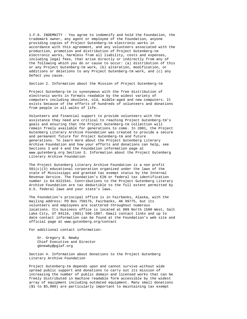1.F.6. INDEMNITY - You agree to indemnify and hold the Foundation, the trademark owner, any agent or employee of the Foundation, anyone providing copies of Project Gutenberg-tm electronic works in accordance with this agreement, and any volunteers associated with the production, promotion and distribution of Project Gutenberg-tm electronic works, harmless from all liability, costs and expenses, including legal fees, that arise directly or indirectly from any of the following which you do or cause to occur: (a) distribution of this or any Project Gutenberg-tm work, (b) alteration, modification, or additions or deletions to any Project Gutenberg-tm work, and (c) any Defect you cause.

Section 2. Information about the Mission of Project Gutenberg-tm

Project Gutenberg-tm is synonymous with the free distribution of electronic works in formats readable by the widest variety of computers including obsolete, old, middle-aged and new computers. It exists because of the efforts of hundreds of volunteers and donations from people in all walks of life.

Volunteers and financial support to provide volunteers with the assistance they need are critical to reaching Project Gutenberg-tm's goals and ensuring that the Project Gutenberg-tm collection will remain freely available for generations to come. In 2001, the Project Gutenberg Literary Archive Foundation was created to provide a secure and permanent future for Project Gutenberg-tm and future generations. To learn more about the Project Gutenberg Literary Archive Foundation and how your efforts and donations can help, see Sections 3 and 4 and the Foundation information page at www.gutenberg.org Section 3. Information about the Project Gutenberg Literary Archive Foundation

The Project Gutenberg Literary Archive Foundation is a non profit  $501(c)(3)$  educational corporation organized under the laws of the state of Mississippi and granted tax exempt status by the Internal Revenue Service. The Foundation's EIN or federal tax identification number is 64-6221541. Contributions to the Project Gutenberg Literary Archive Foundation are tax deductible to the full extent permitted by U.S. federal laws and your state's laws.

The Foundation's principal office is in Fairbanks, Alaska, with the mailing address: PO Box 750175, Fairbanks, AK 99775, but its volunteers and employees are scattered throughout numerous locations. Its business office is located at 809 North 1500 West, Salt Lake City, UT 84116, (801) 596-1887. Email contact links and up to date contact information can be found at the Foundation's web site and official page at www.gutenberg.org/contact

For additional contact information:

Dr. Gregory B. Newby Chief Executive and Director gbnewby@pglaf.org

Section 4. Information about Donations to the Project Gutenberg Literary Archive Foundation

Project Gutenberg-tm depends upon and cannot survive without wide spread public support and donations to carry out its mission of increasing the number of public domain and licensed works that can be freely distributed in machine readable form accessible by the widest array of equipment including outdated equipment. Many small donations (\$1 to \$5,000) are particularly important to maintaining tax exempt